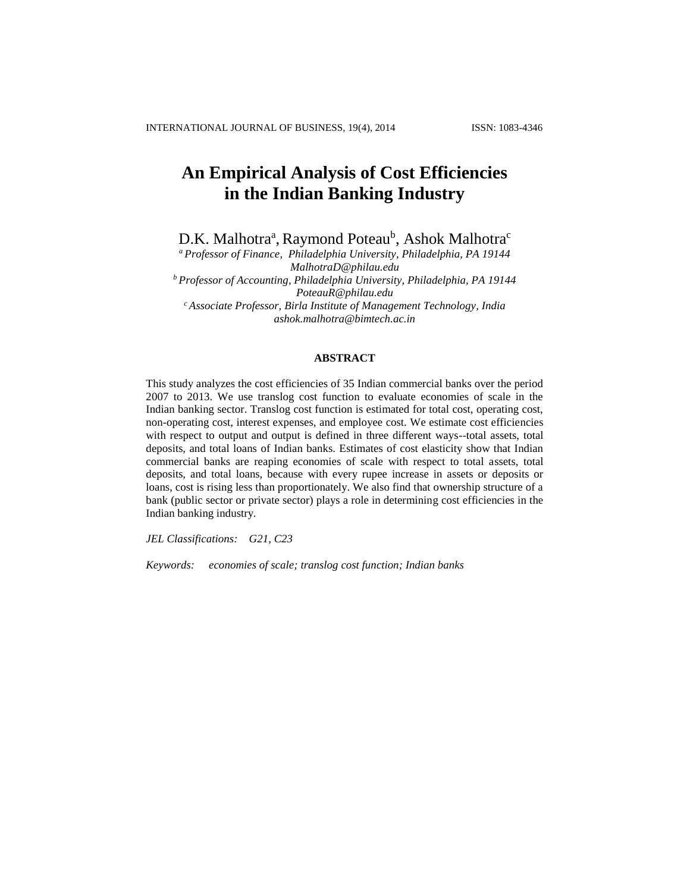# **An Empirical Analysis of Cost Efficiencies in the Indian Banking Industry**

D.K. Malhotra<sup>a</sup>, Raymond Poteau<sup>b</sup>, Ashok Malhotra<sup>c</sup>

*<sup>a</sup> Professor of Finance, Philadelphia University, Philadelphia, PA 19144 MalhotraD@philau.edu <sup>b</sup> Professor of Accounting, Philadelphia University, Philadelphia, PA 19144 PoteauR@philau.edu <sup>c</sup> Associate Professor, Birla Institute of Management Technology, India ashok.malhotra@bimtech.ac.in*

## **ABSTRACT**

This study analyzes the cost efficiencies of 35 Indian commercial banks over the period 2007 to 2013. We use translog cost function to evaluate economies of scale in the Indian banking sector. Translog cost function is estimated for total cost, operating cost, non-operating cost, interest expenses, and employee cost. We estimate cost efficiencies with respect to output and output is defined in three different ways--total assets, total deposits, and total loans of Indian banks. Estimates of cost elasticity show that Indian commercial banks are reaping economies of scale with respect to total assets, total deposits, and total loans, because with every rupee increase in assets or deposits or loans, cost is rising less than proportionately. We also find that ownership structure of a bank (public sector or private sector) plays a role in determining cost efficiencies in the Indian banking industry.

*JEL Classifications: G21, C23*

*Keywords: economies of scale; translog cost function; Indian banks*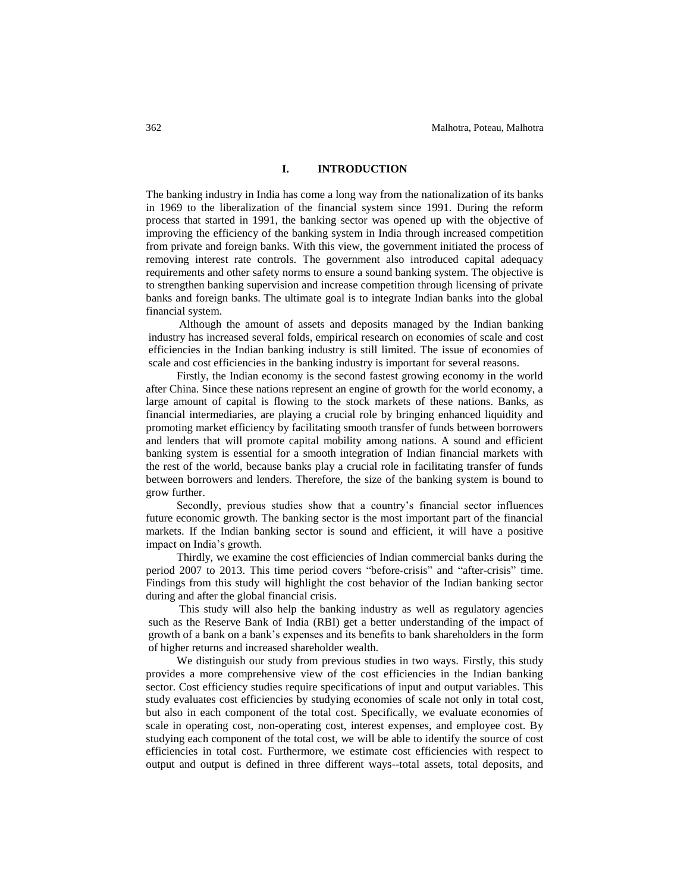# **I. INTRODUCTION**

The banking industry in India has come a long way from the nationalization of its banks in 1969 to the liberalization of the financial system since 1991. During the reform process that started in 1991, the banking sector was opened up with the objective of improving the efficiency of the banking system in India through increased competition from private and foreign banks. With this view, the government initiated the process of removing interest rate controls. The government also introduced capital adequacy requirements and other safety norms to ensure a sound banking system. The objective is to strengthen banking supervision and increase competition through licensing of private banks and foreign banks. The ultimate goal is to integrate Indian banks into the global financial system.

Although the amount of assets and deposits managed by the Indian banking industry has increased several folds, empirical research on economies of scale and cost efficiencies in the Indian banking industry is still limited. The issue of economies of scale and cost efficiencies in the banking industry is important for several reasons.

Firstly, the Indian economy is the second fastest growing economy in the world after China. Since these nations represent an engine of growth for the world economy, a large amount of capital is flowing to the stock markets of these nations. Banks, as financial intermediaries, are playing a crucial role by bringing enhanced liquidity and promoting market efficiency by facilitating smooth transfer of funds between borrowers and lenders that will promote capital mobility among nations. A sound and efficient banking system is essential for a smooth integration of Indian financial markets with the rest of the world, because banks play a crucial role in facilitating transfer of funds between borrowers and lenders. Therefore, the size of the banking system is bound to grow further.

Secondly, previous studies show that a country's financial sector influences future economic growth. The banking sector is the most important part of the financial markets. If the Indian banking sector is sound and efficient, it will have a positive impact on India's growth.

Thirdly, we examine the cost efficiencies of Indian commercial banks during the period 2007 to 2013. This time period covers "before-crisis" and "after-crisis" time. Findings from this study will highlight the cost behavior of the Indian banking sector during and after the global financial crisis.

This study will also help the banking industry as well as regulatory agencies such as the Reserve Bank of India (RBI) get a better understanding of the impact of growth of a bank on a bank's expenses and its benefits to bank shareholders in the form of higher returns and increased shareholder wealth.

We distinguish our study from previous studies in two ways. Firstly, this study provides a more comprehensive view of the cost efficiencies in the Indian banking sector. Cost efficiency studies require specifications of input and output variables. This study evaluates cost efficiencies by studying economies of scale not only in total cost, but also in each component of the total cost. Specifically, we evaluate economies of scale in operating cost, non-operating cost, interest expenses, and employee cost. By studying each component of the total cost, we will be able to identify the source of cost efficiencies in total cost. Furthermore, we estimate cost efficiencies with respect to output and output is defined in three different ways--total assets, total deposits, and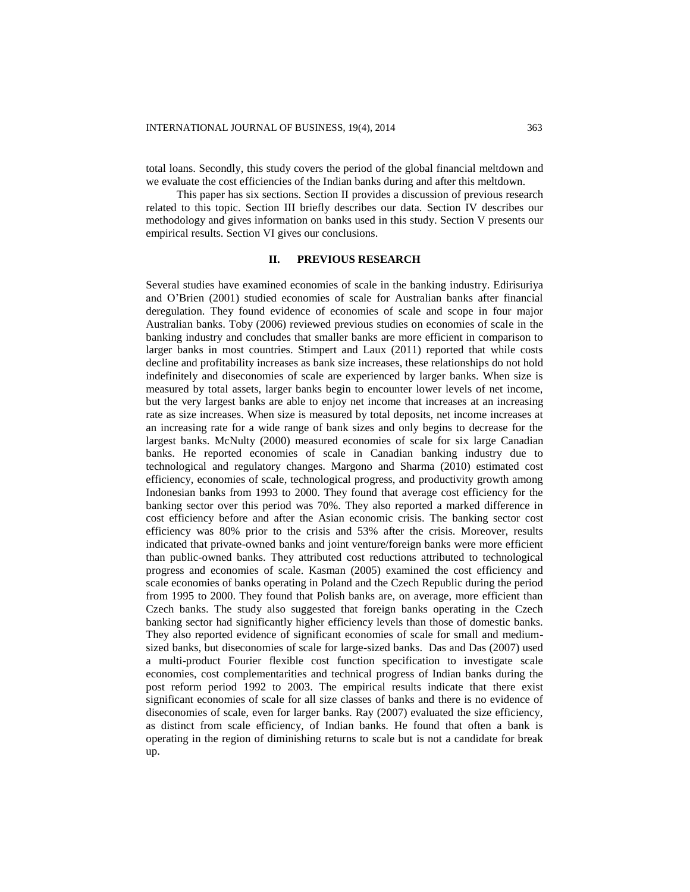total loans. Secondly, this study covers the period of the global financial meltdown and we evaluate the cost efficiencies of the Indian banks during and after this meltdown.

This paper has six sections. Section II provides a discussion of previous research related to this topic. Section III briefly describes our data. Section IV describes our methodology and gives information on banks used in this study. Section V presents our empirical results. Section VI gives our conclusions.

# **II. PREVIOUS RESEARCH**

Several studies have examined economies of scale in the banking industry. Edirisuriya and O'Brien (2001) studied economies of scale for Australian banks after financial deregulation. They found evidence of economies of scale and scope in four major Australian banks. Toby (2006) reviewed previous studies on economies of scale in the banking industry and concludes that smaller banks are more efficient in comparison to larger banks in most countries. Stimpert and Laux (2011) reported that while costs decline and profitability increases as bank size increases, these relationships do not hold indefinitely and diseconomies of scale are experienced by larger banks. When size is measured by total assets, larger banks begin to encounter lower levels of net income, but the very largest banks are able to enjoy net income that increases at an increasing rate as size increases. When size is measured by total deposits, net income increases at an increasing rate for a wide range of bank sizes and only begins to decrease for the largest banks. McNulty (2000) measured economies of scale for six large Canadian banks. He reported economies of scale in Canadian banking industry due to technological and regulatory changes. Margono and Sharma (2010) estimated cost efficiency, economies of scale, technological progress, and productivity growth among Indonesian banks from 1993 to 2000. They found that average cost efficiency for the banking sector over this period was 70%. They also reported a marked difference in cost efficiency before and after the Asian economic crisis. The banking sector cost efficiency was 80% prior to the crisis and 53% after the crisis. Moreover, results indicated that private-owned banks and joint venture/foreign banks were more efficient than public-owned banks. They attributed cost reductions attributed to technological progress and economies of scale. Kasman (2005) examined the cost efficiency and scale economies of banks operating in Poland and the Czech Republic during the period from 1995 to 2000. They found that Polish banks are, on average, more efficient than Czech banks. The study also suggested that foreign banks operating in the Czech banking sector had significantly higher efficiency levels than those of domestic banks. They also reported evidence of significant economies of scale for small and mediumsized banks, but diseconomies of scale for large-sized banks. Das and Das (2007) used a multi-product Fourier flexible cost function specification to investigate scale economies, cost complementarities and technical progress of Indian banks during the post reform period 1992 to 2003. The empirical results indicate that there exist significant economies of scale for all size classes of banks and there is no evidence of diseconomies of scale, even for larger banks. Ray (2007) evaluated the size efficiency, as distinct from scale efficiency, of Indian banks. He found that often a bank is operating in the region of diminishing returns to scale but is not a candidate for break up.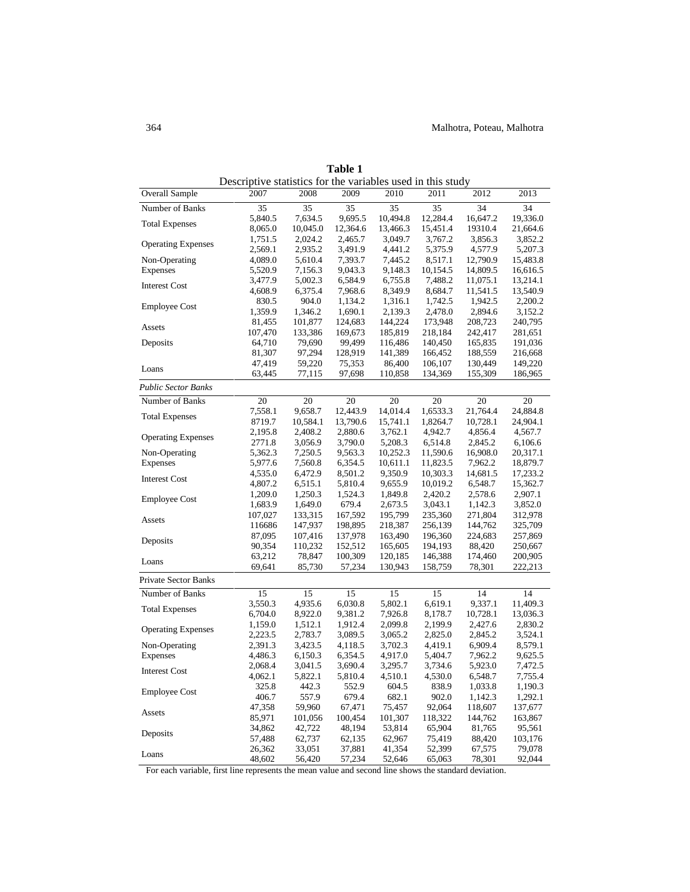|                           | Descriptive statistics for the variables used in this study |          |          |          |          |          |          |
|---------------------------|-------------------------------------------------------------|----------|----------|----------|----------|----------|----------|
| <b>Overall Sample</b>     | 2007                                                        | 2008     | 2009     | 2010     | 2011     | 2012     | 2013     |
| Number of Banks           | 35                                                          | 35       | 35       | 35       | 35       | 34       | 34       |
|                           | 5,840.5                                                     | 7,634.5  | 9,695.5  | 10,494.8 | 12,284.4 | 16,647.2 | 19,336.0 |
| <b>Total Expenses</b>     | 8,065.0                                                     | 10,045.0 | 12,364.6 | 13,466.3 | 15,451.4 | 19310.4  | 21,664.6 |
|                           | 1,751.5                                                     | 2,024.2  | 2,465.7  | 3,049.7  | 3,767.2  | 3,856.3  | 3,852.2  |
| <b>Operating Expenses</b> | 2,569.1                                                     | 2,935.2  | 3,491.9  | 4,441.2  | 5,375.9  | 4,577.9  | 5,207.3  |
| Non-Operating             | 4,089.0                                                     | 5,610.4  | 7,393.7  | 7,445.2  | 8,517.1  | 12,790.9 | 15,483.8 |
| Expenses                  | 5,520.9                                                     | 7,156.3  | 9,043.3  | 9,148.3  | 10,154.5 | 14,809.5 | 16,616.5 |
|                           | 3,477.9                                                     | 5,002.3  | 6,584.9  | 6,755.8  | 7,488.2  | 11,075.1 | 13,214.1 |
| <b>Interest Cost</b>      | 4,608.9                                                     | 6,375.4  | 7,968.6  | 8,349.9  | 8,684.7  | 11,541.5 | 13,540.9 |
| <b>Employee Cost</b>      | 830.5                                                       | 904.0    | 1,134.2  | 1,316.1  | 1,742.5  | 1,942.5  | 2,200.2  |
|                           | 1,359.9                                                     | 1,346.2  | 1,690.1  | 2,139.3  | 2,478.0  | 2,894.6  | 3,152.2  |
| Assets                    | 81,455                                                      | 101,877  | 124,683  | 144,224  | 173,948  | 208,723  | 240,795  |
|                           | 107,470                                                     | 133,386  | 169,673  | 185,819  | 218,184  | 242,417  | 281,651  |
| Deposits                  | 64,710                                                      | 79,690   | 99,499   | 116,486  | 140,450  | 165,835  | 191,036  |
|                           | 81,307                                                      | 97,294   | 128,919  | 141,389  | 166,452  | 188,559  | 216,668  |
| Loans                     | 47,419                                                      | 59,220   | 75,353   | 86,400   | 106,107  | 130,449  | 149,220  |
|                           | 63,445                                                      | 77,115   | 97,698   | 110,858  | 134,369  | 155,309  | 186,965  |
| Public Sector Banks       |                                                             |          |          |          |          |          |          |
| Number of Banks           | 20                                                          | 20       | 20       | 20       | 20       | 20       | 20       |
|                           | 7,558.1                                                     | 9,658.7  | 12,443.9 | 14,014.4 | 1,6533.3 | 21,764.4 | 24,884.8 |
| <b>Total Expenses</b>     | 8719.7                                                      | 10,584.1 | 13,790.6 | 15,741.1 | 1,8264.7 | 10,728.1 | 24,904.1 |
|                           | 2,195.8                                                     | 2,408.2  | 2,880.6  | 3,762.1  | 4,942.7  | 4,856.4  | 4,567.7  |
| <b>Operating Expenses</b> | 2771.8                                                      | 3,056.9  | 3,790.0  | 5,208.3  | 6,514.8  | 2,845.2  | 6,106.6  |
| Non-Operating             | 5,362.3                                                     | 7,250.5  | 9,563.3  | 10,252.3 | 11,590.6 | 16,908.0 | 20,317.1 |
| Expenses                  | 5,977.6                                                     | 7,560.8  | 6,354.5  | 10,611.1 | 11,823.5 | 7,962.2  | 18,879.7 |
|                           | 4,535.0                                                     | 6,472.9  | 8,501.2  | 9,350.9  | 10,303.3 | 14,681.5 | 17,233.2 |
| <b>Interest Cost</b>      | 4,807.2                                                     | 6,515.1  | 5,810.4  | 9,655.9  | 10,019.2 | 6,548.7  | 15,362.7 |
|                           | 1,209.0                                                     | 1,250.3  | 1,524.3  | 1,849.8  | 2,420.2  | 2,578.6  | 2,907.1  |
| <b>Employee Cost</b>      | 1,683.9                                                     | 1,649.0  | 679.4    | 2,673.5  | 3,043.1  | 1,142.3  | 3,852.0  |
|                           | 107,027                                                     | 133,315  | 167,592  | 195,799  | 235,360  | 271,804  | 312,978  |
| Assets                    | 116686                                                      | 147,937  | 198,895  | 218,387  | 256,139  | 144,762  | 325,709  |
|                           | 87,095                                                      | 107,416  | 137,978  | 163,490  | 196,360  | 224,683  | 257,869  |
| Deposits                  | 90,354                                                      | 110,232  | 152,512  | 165,605  | 194,193  | 88,420   | 250,667  |
|                           | 63,212                                                      | 78,847   | 100,309  | 120,185  | 146,388  | 174,460  | 200,905  |
| Loans                     | 69,641                                                      | 85,730   | 57,234   | 130,943  | 158,759  | 78,301   | 222,213  |
| Private Sector Banks      |                                                             |          |          |          |          |          |          |
| Number of Banks           | 15                                                          | 15       | 15       | 15       | 15       | 14       | 14       |
|                           | 3,550.3                                                     | 4,935.6  | 6,030.8  | 5,802.1  | 6,619.1  | 9,337.1  | 11,409.3 |
| <b>Total Expenses</b>     | 6,704.0                                                     | 8,922.0  | 9,381.2  | 7,926.8  | 8,178.7  | 10,728.1 | 13,036.3 |
|                           | 1,159.0                                                     | 1,512.1  | 1,912.4  | 2,099.8  | 2,199.9  | 2,427.6  | 2,830.2  |
| <b>Operating Expenses</b> | 2,223.5                                                     | 2,783.7  | 3,089.5  | 3,065.2  | 2,825.0  | 2,845.2  | 3,524.1  |
| Non-Operating             | 2,391.3                                                     | 3,423.5  | 4,118.5  | 3,702.3  | 4,419.1  | 6,909.4  | 8,579.1  |
| Expenses                  | 4,486.3                                                     | 6,150.3  | 6,354.5  | 4,917.0  | 5,404.7  | 7,962.2  | 9,625.5  |
|                           | 2,068.4                                                     | 3,041.5  | 3,690.4  | 3,295.7  | 3,734.6  | 5,923.0  | 7,472.5  |
| <b>Interest Cost</b>      | 4,062.1                                                     | 5,822.1  | 5,810.4  | 4,510.1  | 4,530.0  | 6,548.7  | 7,755.4  |
|                           | 325.8                                                       | 442.3    | 552.9    | 604.5    | 838.9    | 1,033.8  | 1,190.3  |
| <b>Employee Cost</b>      | 406.7                                                       | 557.9    | 679.4    | 682.1    | 902.0    | 1,142.3  | 1,292.1  |
|                           | 47,358                                                      | 59,960   | 67,471   | 75,457   | 92,064   | 118,607  | 137,677  |
| Assets                    | 85,971                                                      | 101,056  | 100,454  | 101,307  | 118,322  | 144,762  | 163,867  |
|                           | 34,862                                                      | 42,722   | 48,194   | 53,814   | 65,904   | 81,765   | 95,561   |
| Deposits                  | 57,488                                                      | 62,737   | 62,135   | 62,967   | 75,419   | 88,420   | 103,176  |
|                           | 26,362                                                      | 33,051   | 37,881   | 41,354   | 52,399   | 67,575   | 79,078   |
| Loans                     | 48,602                                                      | 56,420   | 57,234   | 52,646   | 65,063   | 78,301   | 92,044   |

**Table 1** Descriptive statistics for the variables used in this study

For each variable, first line represents the mean value and second line shows the standard deviation.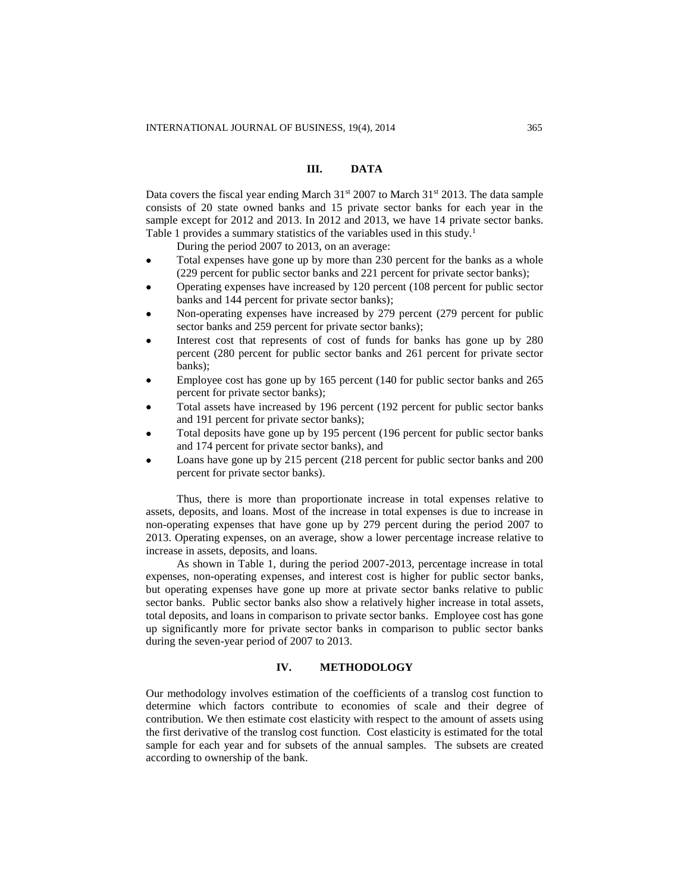# **III. DATA**

Data covers the fiscal year ending March  $31<sup>st</sup> 2007$  to March  $31<sup>st</sup> 2013$ . The data sample consists of 20 state owned banks and 15 private sector banks for each year in the sample except for 2012 and 2013. In 2012 and 2013, we have 14 private sector banks. Table 1 provides a summary statistics of the variables used in this study.<sup>1</sup>

During the period 2007 to 2013, on an average:

- Total expenses have gone up by more than 230 percent for the banks as a whole (229 percent for public sector banks and 221 percent for private sector banks);
- Operating expenses have increased by 120 percent (108 percent for public sector banks and 144 percent for private sector banks);
- Non-operating expenses have increased by 279 percent (279 percent for public sector banks and 259 percent for private sector banks);
- Interest cost that represents of cost of funds for banks has gone up by 280 percent (280 percent for public sector banks and 261 percent for private sector banks);
- Employee cost has gone up by 165 percent (140 for public sector banks and 265 percent for private sector banks);
- Total assets have increased by 196 percent (192 percent for public sector banks and 191 percent for private sector banks);
- Total deposits have gone up by 195 percent (196 percent for public sector banks and 174 percent for private sector banks), and
- Loans have gone up by 215 percent (218 percent for public sector banks and 200 percent for private sector banks).

Thus, there is more than proportionate increase in total expenses relative to assets, deposits, and loans. Most of the increase in total expenses is due to increase in non-operating expenses that have gone up by 279 percent during the period 2007 to 2013. Operating expenses, on an average, show a lower percentage increase relative to increase in assets, deposits, and loans.

As shown in Table 1, during the period 2007-2013, percentage increase in total expenses, non-operating expenses, and interest cost is higher for public sector banks, but operating expenses have gone up more at private sector banks relative to public sector banks. Public sector banks also show a relatively higher increase in total assets, total deposits, and loans in comparison to private sector banks. Employee cost has gone up significantly more for private sector banks in comparison to public sector banks during the seven-year period of 2007 to 2013.

# **IV. METHODOLOGY**

Our methodology involves estimation of the coefficients of a translog cost function to determine which factors contribute to economies of scale and their degree of contribution. We then estimate cost elasticity with respect to the amount of assets using the first derivative of the translog cost function. Cost elasticity is estimated for the total sample for each year and for subsets of the annual samples. The subsets are created according to ownership of the bank.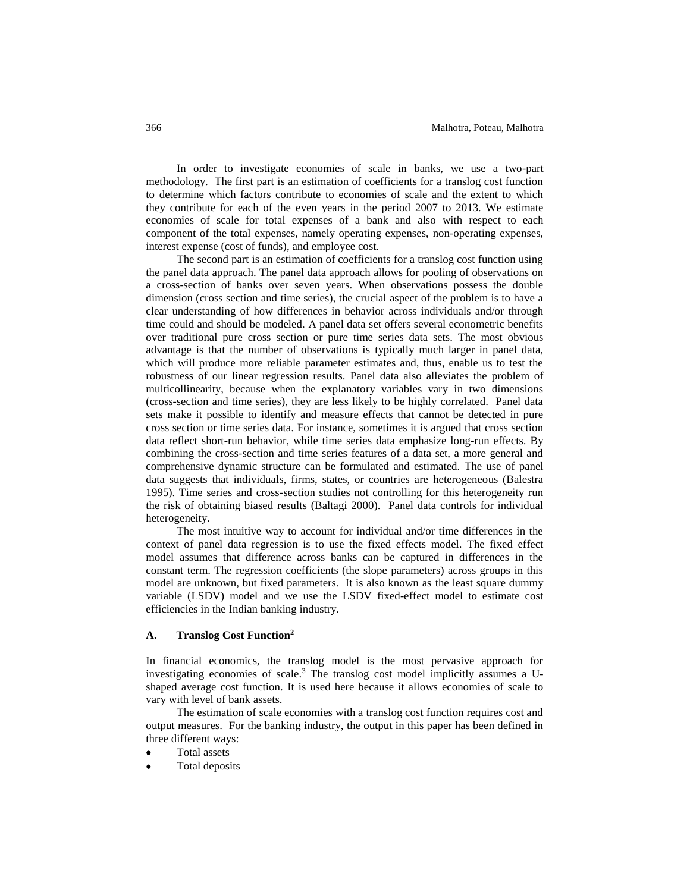In order to investigate economies of scale in banks, we use a two-part methodology. The first part is an estimation of coefficients for a translog cost function to determine which factors contribute to economies of scale and the extent to which they contribute for each of the even years in the period 2007 to 2013. We estimate economies of scale for total expenses of a bank and also with respect to each component of the total expenses, namely operating expenses, non-operating expenses, interest expense (cost of funds), and employee cost.

The second part is an estimation of coefficients for a translog cost function using the panel data approach. The panel data approach allows for pooling of observations on a cross-section of banks over seven years. When observations possess the double dimension (cross section and time series), the crucial aspect of the problem is to have a clear understanding of how differences in behavior across individuals and/or through time could and should be modeled. A panel data set offers several econometric benefits over traditional pure cross section or pure time series data sets. The most obvious advantage is that the number of observations is typically much larger in panel data, which will produce more reliable parameter estimates and, thus, enable us to test the robustness of our linear regression results. Panel data also alleviates the problem of multicollinearity, because when the explanatory variables vary in two dimensions (cross-section and time series), they are less likely to be highly correlated. Panel data sets make it possible to identify and measure effects that cannot be detected in pure cross section or time series data. For instance, sometimes it is argued that cross section data reflect short-run behavior, while time series data emphasize long-run effects. By combining the cross-section and time series features of a data set, a more general and comprehensive dynamic structure can be formulated and estimated. The use of panel data suggests that individuals, firms, states, or countries are heterogeneous (Balestra 1995). Time series and cross-section studies not controlling for this heterogeneity run the risk of obtaining biased results (Baltagi 2000). Panel data controls for individual heterogeneity.

The most intuitive way to account for individual and/or time differences in the context of panel data regression is to use the fixed effects model. The fixed effect model assumes that difference across banks can be captured in differences in the constant term. The regression coefficients (the slope parameters) across groups in this model are unknown, but fixed parameters. It is also known as the least square dummy variable (LSDV) model and we use the LSDV fixed-effect model to estimate cost efficiencies in the Indian banking industry.

## **A. Translog Cost Function<sup>2</sup>**

In financial economics, the translog model is the most pervasive approach for investigating economies of scale.<sup>3</sup> The translog cost model implicitly assumes a Ushaped average cost function. It is used here because it allows economies of scale to vary with level of bank assets.

The estimation of scale economies with a translog cost function requires cost and output measures. For the banking industry, the output in this paper has been defined in three different ways:

- Total assets
- Total deposits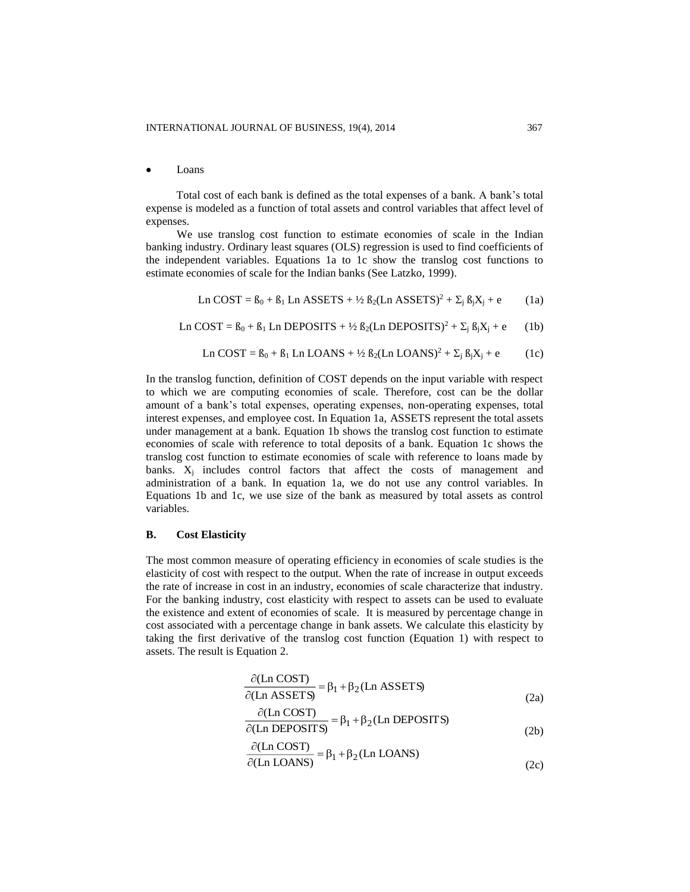#### Loans

Total cost of each bank is defined as the total expenses of a bank. A bank's total expense is modeled as a function of total assets and control variables that affect level of expenses.

We use translog cost function to estimate economies of scale in the Indian banking industry. Ordinary least squares (OLS) regression is used to find coefficients of the independent variables. Equations 1a to 1c show the translog cost functions to estimate economies of scale for the Indian banks (See Latzko, 1999).

$$
\text{Ln COST} = \beta_0 + \beta_1 \text{Ln ASSETS} + \frac{1}{2} \beta_2 (\text{Ln ASSETS})^2 + \sum_j \beta_j X_j + e \tag{1a}
$$

Ln COST =  $\beta_0 + \beta_1$  Ln DEPOSITS + ½  $\beta_2$ (Ln DEPOSITS)<sup>2</sup> +  $\Sigma_i$   $\beta_i X_i$  + e (1b)

$$
\text{Ln COST} = \beta_0 + \beta_1 \text{Ln LOANS} + \frac{1}{2} \beta_2 (\text{Ln LOANS})^2 + \sum_j \beta_j X_j + e \tag{1c}
$$

In the translog function, definition of COST depends on the input variable with respect to which we are computing economies of scale. Therefore, cost can be the dollar amount of a bank's total expenses, operating expenses, non-operating expenses, total interest expenses, and employee cost. In Equation 1a, ASSETS represent the total assets under management at a bank. Equation 1b shows the translog cost function to estimate economies of scale with reference to total deposits of a bank. Equation 1c shows the translog cost function to estimate economies of scale with reference to loans made by banks.  $X_i$  includes control factors that affect the costs of management and administration of a bank. In equation 1a, we do not use any control variables. In Equations 1b and 1c, we use size of the bank as measured by total assets as control variables.

#### **B. Cost Elasticity**

The most common measure of operating efficiency in economies of scale studies is the elasticity of cost with respect to the output. When the rate of increase in output exceeds the rate of increase in cost in an industry, economies of scale characterize that industry. For the banking industry, cost elasticity with respect to assets can be used to evaluate the existence and extent of economies of scale. It is measured by percentage change in cost associated with a percentage change in bank assets. We calculate this elasticity by taking the first derivative of the translog cost function (Equation 1) with respect to assets. The result is Equation 2.

$$
\frac{\partial (\text{Ln COST})}{\partial (\text{Ln ASSETS})} = \beta_1 + \beta_2 (\text{Ln ASSETS})
$$
\n(2a)

$$
\frac{\partial (Ln \text{ COST})}{\partial (Ln \text{ DEPOSTTS})} = \beta_1 + \beta_2 (Ln \text{ DEPOSTTS})
$$
\n(2b)

$$
\frac{\partial (\text{Ln COST})}{\partial (\text{Ln LOANS})} = \beta_1 + \beta_2 (\text{Ln LOANS})
$$
\n(2c)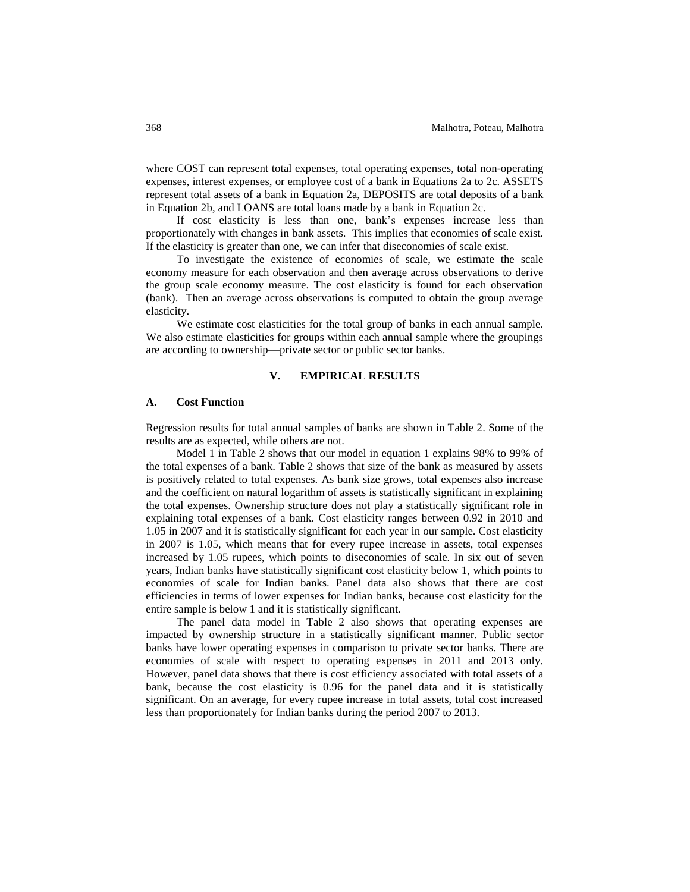where COST can represent total expenses, total operating expenses, total non-operating expenses, interest expenses, or employee cost of a bank in Equations 2a to 2c. ASSETS represent total assets of a bank in Equation 2a, DEPOSITS are total deposits of a bank in Equation 2b, and LOANS are total loans made by a bank in Equation 2c.

If cost elasticity is less than one, bank's expenses increase less than proportionately with changes in bank assets. This implies that economies of scale exist. If the elasticity is greater than one, we can infer that diseconomies of scale exist.

To investigate the existence of economies of scale, we estimate the scale economy measure for each observation and then average across observations to derive the group scale economy measure. The cost elasticity is found for each observation (bank). Then an average across observations is computed to obtain the group average elasticity.

We estimate cost elasticities for the total group of banks in each annual sample. We also estimate elasticities for groups within each annual sample where the groupings are according to ownership—private sector or public sector banks.

## **V. EMPIRICAL RESULTS**

## **A. Cost Function**

Regression results for total annual samples of banks are shown in Table 2. Some of the results are as expected, while others are not.

Model 1 in Table 2 shows that our model in equation 1 explains 98% to 99% of the total expenses of a bank. Table 2 shows that size of the bank as measured by assets is positively related to total expenses. As bank size grows, total expenses also increase and the coefficient on natural logarithm of assets is statistically significant in explaining the total expenses. Ownership structure does not play a statistically significant role in explaining total expenses of a bank. Cost elasticity ranges between 0.92 in 2010 and 1.05 in 2007 and it is statistically significant for each year in our sample. Cost elasticity in 2007 is 1.05, which means that for every rupee increase in assets, total expenses increased by 1.05 rupees, which points to diseconomies of scale. In six out of seven years, Indian banks have statistically significant cost elasticity below 1, which points to economies of scale for Indian banks. Panel data also shows that there are cost efficiencies in terms of lower expenses for Indian banks, because cost elasticity for the entire sample is below 1 and it is statistically significant.

The panel data model in Table 2 also shows that operating expenses are impacted by ownership structure in a statistically significant manner. Public sector banks have lower operating expenses in comparison to private sector banks. There are economies of scale with respect to operating expenses in 2011 and 2013 only. However, panel data shows that there is cost efficiency associated with total assets of a bank, because the cost elasticity is 0.96 for the panel data and it is statistically significant. On an average, for every rupee increase in total assets, total cost increased less than proportionately for Indian banks during the period 2007 to 2013.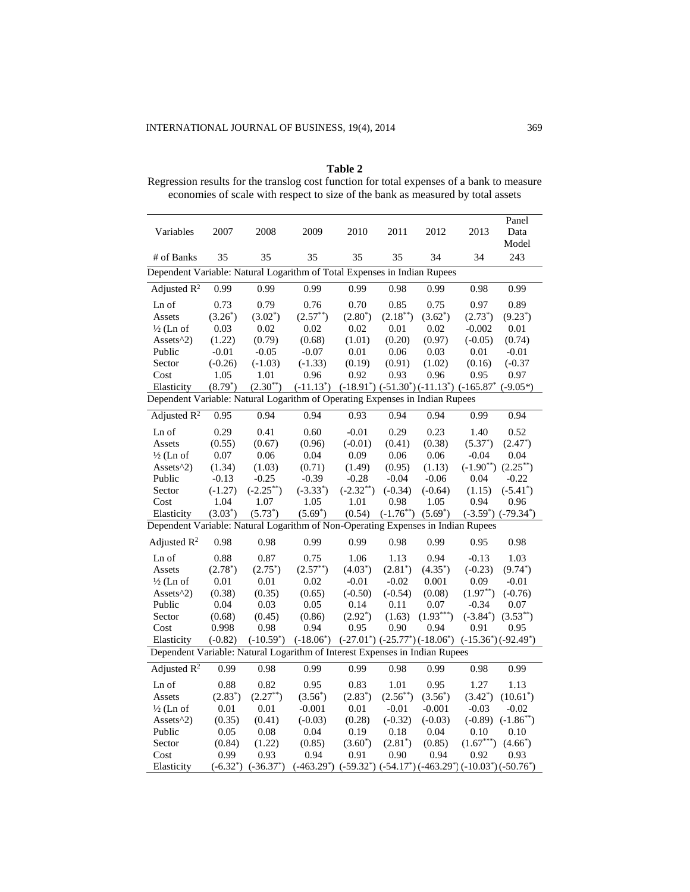| Table 2                                                                                   |
|-------------------------------------------------------------------------------------------|
| Regression results for the translog cost function for total expenses of a bank to measure |
| economies of scale with respect to size of the bank as measured by total assets           |

| Variables                                                                        | 2007       | 2008                     | 2009                                                                            | 2010           | 2011           | 2012                                                             | 2013           | Panel<br>Data<br>Model   |
|----------------------------------------------------------------------------------|------------|--------------------------|---------------------------------------------------------------------------------|----------------|----------------|------------------------------------------------------------------|----------------|--------------------------|
| # of Banks                                                                       | 35         | 35                       | 35                                                                              | 35             | 35             | 34                                                               | 34             | 243                      |
| Dependent Variable: Natural Logarithm of Total Expenses in Indian Rupees         |            |                          |                                                                                 |                |                |                                                                  |                |                          |
| Adjusted $R^2$                                                                   | 0.99       | 0.99                     | 0.99                                                                            | 0.99           | 0.98           | 0.99                                                             | 0.98           | 0.99                     |
| Ln of                                                                            | 0.73       | 0.79                     | 0.76                                                                            | 0.70           | 0.85           | 0.75                                                             | 0.97           | 0.89                     |
| Assets                                                                           | $(3.26^*)$ | $(3.02^*)$               | $(2.57^{**})$                                                                   | $(2.80^*)$     | $(2.18^{**})$  | $(3.62^*)$                                                       | $(2.73^*)$     | $(9.23^*)$               |
| $\frac{1}{2}$ (Ln of                                                             | 0.03       | 0.02                     | 0.02                                                                            | 0.02           | 0.01           | 0.02                                                             | $-0.002$       | 0.01                     |
| Assets $^2$ 2)                                                                   | (1.22)     | (0.79)                   | (0.68)                                                                          | (1.01)         | (0.20)         | (0.97)                                                           | $(-0.05)$      | (0.74)                   |
| Public                                                                           | $-0.01$    | $-0.05$                  | $-0.07$                                                                         | 0.01           | 0.06           | 0.03                                                             | 0.01           | $-0.01$                  |
| Sector                                                                           | $(-0.26)$  | $(-1.03)$                | $(-1.33)$                                                                       | (0.19)         | (0.91)         | (1.02)                                                           | (0.16)         | $(-0.37)$                |
| Cost                                                                             | 1.05       | 1.01                     | 0.96                                                                            | 0.92           | 0.93           | 0.96                                                             | 0.95           | 0.97                     |
| Elasticity                                                                       | $(8.79^*)$ | $(2.30^{**})$            | $(-11.13^*)$ $(-18.91^*)$ $(-51.30^*)$ $(-11.13^*)$ $(-165.87^*)$               |                |                |                                                                  |                | $(-9.05*)$               |
| Dependent Variable: Natural Logarithm of Operating Expenses in Indian Rupees     |            |                          |                                                                                 |                |                |                                                                  |                |                          |
| Adjusted $R^2$                                                                   | 0.95       | 0.94                     | 0.94                                                                            | 0.93           | 0.94           | 0.94                                                             | 0.99           | 0.94                     |
| Ln of                                                                            | 0.29       | 0.41                     | 0.60                                                                            | $-0.01$        | 0.29           | 0.23                                                             | 1.40           | 0.52                     |
| Assets                                                                           | (0.55)     | (0.67)                   | (0.96)                                                                          | $(-0.01)$      | (0.41)         | (0.38)                                                           | $(5.37^*)$     | $(2.47^*)$               |
| $\frac{1}{2}$ (Ln of                                                             | 0.07       | 0.06                     | 0.04                                                                            | 0.09           | 0.06           | 0.06                                                             | $-0.04$        | 0.04                     |
| Assets^2)                                                                        | (1.34)     | (1.03)                   | (0.71)                                                                          | (1.49)         | (0.95)         | (1.13)                                                           | $(-1.90^{**})$ | $(2.25^{**})$            |
| Public                                                                           | $-0.13$    | $-0.25$                  | $-0.39$                                                                         | $-0.28$        | $-0.04$        | $-0.06$                                                          | 0.04           | $-0.22$                  |
| Sector                                                                           | $(-1.27)$  | $(-2.25^{**})$           | $(-3.33^*)$                                                                     | $(-2.32^{**})$ | $(-0.34)$      | $(-0.64)$                                                        | (1.15)         | $(-5.41^*)$              |
| Cost                                                                             | 1.04       | 1.07                     | 1.05                                                                            | 1.01           | 0.98           | 1.05                                                             | 0.94           | 0.96                     |
| Elasticity                                                                       | $(3.03^*)$ | $(5.73^*)$               | $(5.69^*)$                                                                      | (0.54)         | $(-1.76^{**})$ | $(5.69^*)$                                                       |                | $(-3.59^*)$ $(-79.34^*)$ |
| Dependent Variable: Natural Logarithm of Non-Operating Expenses in Indian Rupees |            |                          |                                                                                 |                |                |                                                                  |                |                          |
| Adjusted $R^2$                                                                   | 0.98       | 0.98                     | 0.99                                                                            | 0.99           | 0.98           | 0.99                                                             | 0.95           | 0.98                     |
| Ln of                                                                            | 0.88       | 0.87                     | 0.75                                                                            | 1.06           | 1.13           | 0.94                                                             | $-0.13$        | 1.03                     |
| Assets                                                                           | $(2.78^*)$ | $(2.75^*)$               | $(2.57^{**})$                                                                   | $(4.03^*)$     | $(2.81^*)$     | $(4.35^*)$                                                       | $(-0.23)$      | $(9.74^*)$               |
| $\frac{1}{2}$ (Ln of                                                             | 0.01       | 0.01                     | 0.02                                                                            | $-0.01$        | $-0.02$        | 0.001                                                            | 0.09           | $-0.01$                  |
| Assets $\binom{2}{2}$                                                            | (0.38)     | (0.35)                   | (0.65)                                                                          | $(-0.50)$      | $(-0.54)$      | (0.08)                                                           | $(1.97^{**})$  | $(-0.76)$                |
| Public                                                                           | 0.04       | 0.03                     | 0.05                                                                            | 0.14           | 0.11           | 0.07                                                             | $-0.34$        | 0.07                     |
| Sector                                                                           | (0.68)     | (0.45)                   | (0.86)                                                                          | $(2.92^*)$     | (1.63)         | $(1.93***)$                                                      | $(-3.84^*)$    | $(3.53^{**})$            |
| Cost                                                                             | 0.998      | 0.98                     | 0.94                                                                            | 0.95           | 0.90           | 0.94                                                             | 0.91           | 0.95                     |
| Elasticity                                                                       | $(-0.82)$  | $(-10.59^*)$             | $(-18.06^*)$                                                                    |                |                | $(-27.01^*)$ $(-25.77^*)$ $(-18.06^*)$ $(-15.36^*)$ $(-92.49^*)$ |                |                          |
| Dependent Variable: Natural Logarithm of Interest Expenses in Indian Rupees      |            |                          |                                                                                 |                |                |                                                                  |                |                          |
| Adjusted $R^2$                                                                   | 0.99       | 0.98                     | 0.99                                                                            | 0.99           | 0.98           | 0.99                                                             | 0.98           | 0.99                     |
| Ln of                                                                            | 0.88       | 0.82                     | 0.95                                                                            | 0.83           | 1.01           | 0.95                                                             | 1.27           | 1.13                     |
| Assets                                                                           | $(2.83^*)$ | $(2.27^{**})$            | $(3.56^*)$                                                                      | $(2.83^*)$     | $(2.56^{**})$  | $(3.56^*)$                                                       | $(3.42^*)$     | $(10.61^*)$              |
| $\frac{1}{2}$ (Ln of                                                             | 0.01       | 0.01                     | $-0.001$                                                                        | 0.01           | $-0.01$        | $-0.001$                                                         | $-0.03$        | $-0.02$                  |
| Assets $^2$ 2)                                                                   | (0.35)     | (0.41)                   | $(-0.03)$                                                                       | (0.28)         | $(-0.32)$      | $(-0.03)$                                                        | $(-0.89)$      | $(-1.86^{**})$           |
| Public                                                                           | 0.05       | 0.08                     | 0.04                                                                            | 0.19           | 0.18           | $0.04\,$                                                         | 0.10           | 0.10                     |
| Sector                                                                           | (0.84)     | (1.22)                   | (0.85)                                                                          | $(3.60^*)$     | $(2.81^*)$     | (0.85)                                                           | $(1.67***)$    | $(4.66^*)$               |
| Cost                                                                             | 0.99       | 0.93                     | 0.94                                                                            | 0.91           | 0.90           | 0.94                                                             | 0.92           | 0.93                     |
| Elasticity                                                                       |            | $(-6.32^*)$ $(-36.37^*)$ | $(-463.29^*)$ $(-59.32^*)$ $(-54.17^*)$ $(-463.29^*)$ $(-10.03^*)$ $(-50.76^*)$ |                |                |                                                                  |                |                          |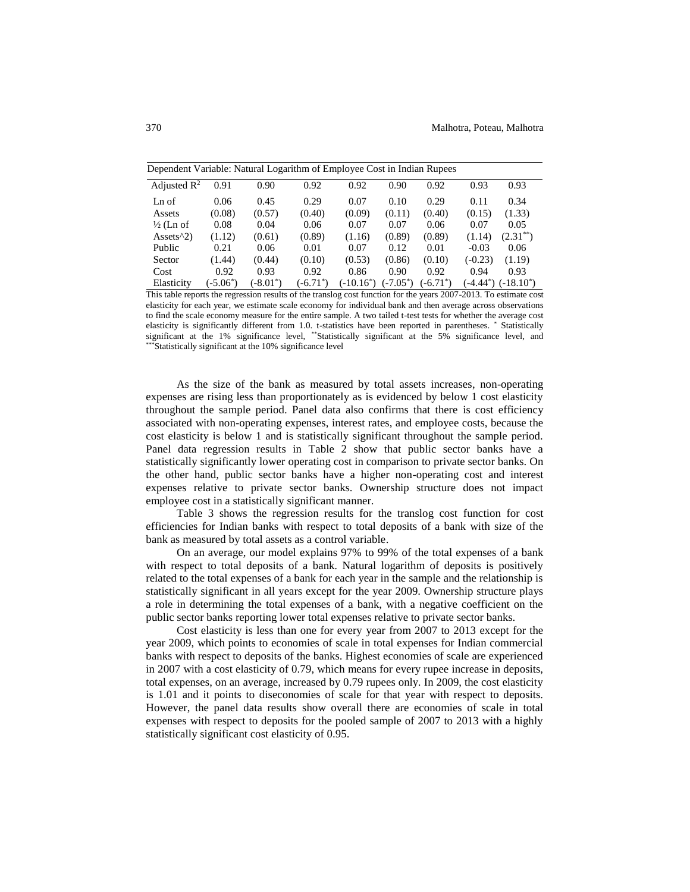| Dependent Variable: Natural Logarithm of Employee Cost in Indian Rupees |             |             |             |              |             |             |           |                          |  |
|-------------------------------------------------------------------------|-------------|-------------|-------------|--------------|-------------|-------------|-----------|--------------------------|--|
| Adjusted $\mathbb{R}^2$                                                 | 0.91        | 0.90        | 0.92        | 0.92         | 0.90        | 0.92        | 0.93      | 0.93                     |  |
| Ln of                                                                   | 0.06        | 0.45        | 0.29        | 0.07         | 0.10        | 0.29        | 0.11      | 0.34                     |  |
| Assets                                                                  | (0.08)      | (0.57)      | (0.40)      | (0.09)       | (0.11)      | (0.40)      | (0.15)    | (1.33)                   |  |
| $\frac{1}{2}$ (Ln of                                                    | 0.08        | 0.04        | 0.06        | 0.07         | 0.07        | 0.06        | 0.07      | 0.05                     |  |
| Assets $\binom{2}{2}$                                                   | (1.12)      | (0.61)      | (0.89)      | (1.16)       | (0.89)      | (0.89)      | (1.14)    | $(2.31^{**})$            |  |
| Public                                                                  | 0.21        | 0.06        | 0.01        | 0.07         | 0.12        | 0.01        | $-0.03$   | 0.06                     |  |
| Sector                                                                  | (1.44)      | (0.44)      | (0.10)      | (0.53)       | (0.86)      | (0.10)      | $(-0.23)$ | (1.19)                   |  |
| Cost                                                                    | 0.92        | 0.93        | 0.92        | 0.86         | 0.90        | 0.92        | 0.94      | 0.93                     |  |
| Elasticity                                                              | $(-5.06^*)$ | $(-8.01^*)$ | $(-6.71^*)$ | $(-10.16^*)$ | $(-7.05^*)$ | $(-6.71^*)$ |           | $(-4.44^*)$ $(-18.10^*)$ |  |

This table reports the regression results of the translog cost function for the years 2007-2013. To estimate cost elasticity for each year, we estimate scale economy for individual bank and then average across observations to find the scale economy measure for the entire sample. A two tailed t-test tests for whether the average cost elasticity is significantly different from 1.0. t-statistics have been reported in parentheses. \* Statistically significant at the 1% significance level, \*\*Statistically significant at the 5% significance level, and \*\*\*Statistically significant at the 10% significance level

As the size of the bank as measured by total assets increases, non-operating expenses are rising less than proportionately as is evidenced by below 1 cost elasticity throughout the sample period. Panel data also confirms that there is cost efficiency associated with non-operating expenses, interest rates, and employee costs, because the cost elasticity is below 1 and is statistically significant throughout the sample period. Panel data regression results in Table 2 show that public sector banks have a statistically significantly lower operating cost in comparison to private sector banks. On the other hand, public sector banks have a higher non-operating cost and interest expenses relative to private sector banks. Ownership structure does not impact employee cost in a statistically significant manner.

Table 3 shows the regression results for the translog cost function for cost efficiencies for Indian banks with respect to total deposits of a bank with size of the bank as measured by total assets as a control variable.

On an average, our model explains 97% to 99% of the total expenses of a bank with respect to total deposits of a bank. Natural logarithm of deposits is positively related to the total expenses of a bank for each year in the sample and the relationship is statistically significant in all years except for the year 2009. Ownership structure plays a role in determining the total expenses of a bank, with a negative coefficient on the public sector banks reporting lower total expenses relative to private sector banks.

Cost elasticity is less than one for every year from 2007 to 2013 except for the year 2009, which points to economies of scale in total expenses for Indian commercial banks with respect to deposits of the banks. Highest economies of scale are experienced in 2007 with a cost elasticity of 0.79, which means for every rupee increase in deposits, total expenses, on an average, increased by 0.79 rupees only. In 2009, the cost elasticity is 1.01 and it points to diseconomies of scale for that year with respect to deposits. However, the panel data results show overall there are economies of scale in total expenses with respect to deposits for the pooled sample of 2007 to 2013 with a highly statistically significant cost elasticity of 0.95.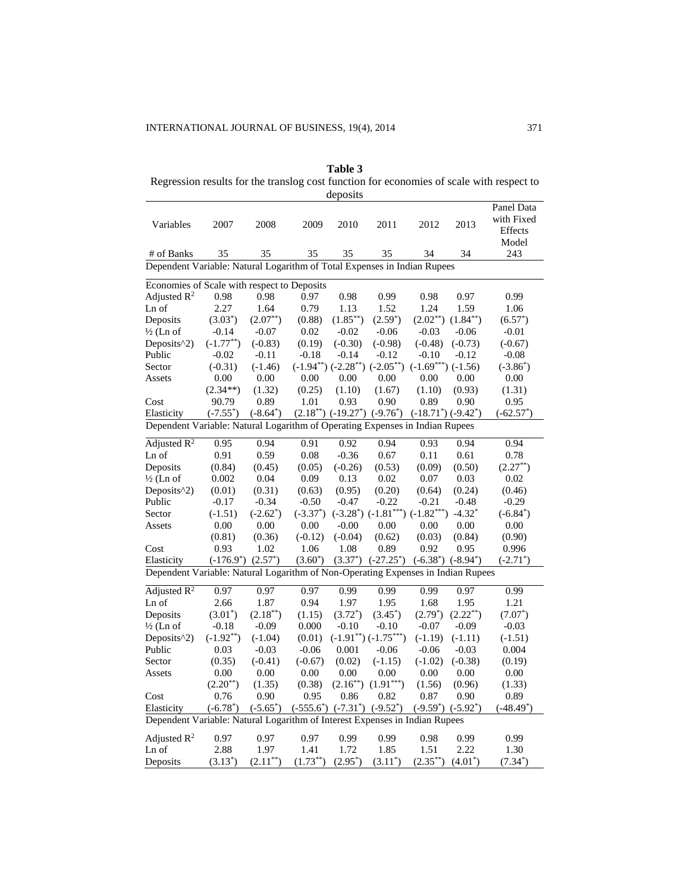**Table 3** Regression results for the translog cost function for economies of scale with respect to deposits

|                                                                                  |                |                         |               | ueposits      |                                              |                                      |                         |                                              |
|----------------------------------------------------------------------------------|----------------|-------------------------|---------------|---------------|----------------------------------------------|--------------------------------------|-------------------------|----------------------------------------------|
| Variables                                                                        | 2007           | 2008                    | 2009          | 2010          | 2011                                         | 2012                                 | 2013                    | Panel Data<br>with Fixed<br>Effects<br>Model |
| # of Banks                                                                       | 35             | 35                      | 35            | 35            | 35                                           | 34                                   | 34                      | 243                                          |
| Dependent Variable: Natural Logarithm of Total Expenses in Indian Rupees         |                |                         |               |               |                                              |                                      |                         |                                              |
|                                                                                  |                |                         |               |               |                                              |                                      |                         |                                              |
| Economies of Scale with respect to Deposits                                      |                |                         |               |               |                                              |                                      |                         |                                              |
| Adjusted $\mathbb{R}^2$                                                          | 0.98           | 0.98                    | 0.97          | 0.98          | 0.99                                         | 0.98                                 | 0.97                    | 0.99                                         |
| Ln of                                                                            | 2.27           | 1.64                    | 0.79          | 1.13          | 1.52                                         | 1.24                                 | 1.59                    | 1.06                                         |
| Deposits                                                                         | $(3.03^*)$     | $(2.07^{**})$           | (0.88)        | $(1.85^{**})$ | $(2.59^*)$                                   | $(2.02^{**})$                        | $(1.84^{**})$           | $(6.57^*)$                                   |
| $\frac{1}{2}$ (Ln of                                                             | $-0.14$        | $-0.07$                 | 0.02          | $-0.02$       | $-0.06$                                      | $-0.03$                              | $-0.06$                 | $-0.01$                                      |
| Deposits^2)                                                                      | $(-1.77^{**})$ | $(-0.83)$               | (0.19)        | $(-0.30)$     | $(-0.98)$                                    | $(-0.48)$                            | $(-0.73)$               | $(-0.67)$                                    |
| Public                                                                           | $-0.02$        | $-0.11$                 | $-0.18$       | $-0.14$       | $-0.12$                                      | $-0.10$                              | $-0.12$                 | $-0.08$                                      |
| Sector                                                                           | $(-0.31)$      | $(-1.46)$               |               |               | $(-1.94^{**})$ $(-2.28^{**})$ $(-2.05^{**})$ | $(-1.69***)(-1.56)$                  |                         | $(-3.86^*)$                                  |
| Assets                                                                           | 0.00           | 0.00                    | 0.00          | 0.00          | 0.00                                         | 0.00                                 | 0.00                    | 0.00                                         |
|                                                                                  | $(2.34**)$     | (1.32)                  | (0.25)        | (1.10)        | (1.67)                                       | (1.10)                               | (0.93)                  | (1.31)                                       |
| Cost                                                                             | 90.79          | 0.89                    | 1.01          | 0.93          | 0.90                                         | 0.89                                 | 0.90                    | 0.95                                         |
| Elasticity                                                                       | $(-7.55^*)$    | $(-8.64^*)$             |               |               | $(2.18^{**})$ $(-19.27^*)$ $(-9.76^*)$       | $(-18.71^{\circ})$ $(-9.42^{\circ})$ |                         | $(-62.57^*)$                                 |
| Dependent Variable: Natural Logarithm of Operating Expenses in Indian Rupees     |                |                         |               |               |                                              |                                      |                         |                                              |
| Adjusted $R^2$                                                                   | 0.95           | 0.94                    | 0.91          | 0.92          | 0.94                                         | 0.93                                 | 0.94                    | 0.94                                         |
| Ln of                                                                            | 0.91           | 0.59                    | 0.08          | $-0.36$       | 0.67                                         | 0.11                                 | 0.61                    | 0.78                                         |
| Deposits                                                                         | (0.84)         | (0.45)                  | (0.05)        | $(-0.26)$     | (0.53)                                       | (0.09)                               | (0.50)                  | $(2.27^{**})$                                |
| $\frac{1}{2}$ (Ln of                                                             | 0.002          | 0.04                    | 0.09          | 0.13          | 0.02                                         | $0.07\,$                             | 0.03                    | 0.02                                         |
| Deposits $\binom{2}{2}$                                                          | (0.01)         | (0.31)                  | (0.63)        | (0.95)        | (0.20)                                       | (0.64)                               | (0.24)                  | (0.46)                                       |
| Public                                                                           | $-0.17$        | $-0.34$                 | $-0.50$       | $-0.47$       | $-0.22$                                      | $-0.21$                              | $-0.48$                 | $-0.29$                                      |
| Sector                                                                           | $(-1.51)$      | $(-2.62^*)$             | $(-3.37^*)$   |               | $(-3.28^*)$ $(-1.81^{***})$ $(-1.82^{***})$  |                                      | $-4.32*$                | $(-6.84^*)$                                  |
| Assets                                                                           | 0.00           | 0.00                    | 0.00          | $-0.00$       | 0.00                                         | 0.00                                 | 0.00                    | 0.00                                         |
|                                                                                  | (0.81)         | (0.36)                  | $(-0.12)$     | $(-0.04)$     | (0.62)                                       | (0.03)                               | (0.84)                  | (0.90)                                       |
| Cost                                                                             | 0.93           | 1.02                    | 1.06          | 1.08          | 0.89                                         | 0.92                                 | 0.95                    | 0.996                                        |
| Elasticity                                                                       |                | $(-176.9^*)$ $(2.57^*)$ | $(3.60^*)$    |               | $(3.37^*)$ $(-27.25^*)$                      | $(-6.38^*)$                          | $(-8.94^*)$             | $(-2.71^*)$                                  |
| Dependent Variable: Natural Logarithm of Non-Operating Expenses in Indian Rupees |                |                         |               |               |                                              |                                      |                         |                                              |
| Adjusted $R^2$                                                                   | 0.97           | 0.97                    | 0.97          | 0.99          | 0.99                                         | 0.99                                 | 0.97                    | 0.99                                         |
| Ln of                                                                            | 2.66           | 1.87                    | 0.94          | 1.97          | 1.95                                         | 1.68                                 | 1.95                    | 1.21                                         |
| Deposits                                                                         | $(3.01^*)$     | $(2.18^{**})$           | (1.15)        | $(3.72^*)$    | $(3.45^*)$                                   | $(2.79^*)$                           | $(2.22^{**})$           | $(7.07^*)$                                   |
| $\frac{1}{2}$ (Ln of                                                             | $-0.18$        | $-0.09$                 | 0.000         | $-0.10$       | $-0.10$                                      | $-0.07$                              | $-0.09$                 | $-0.03$                                      |
| Deposits^2)                                                                      | $(-1.92^{**})$ | $(-1.04)$               | (0.01)        |               | $(-1.91^{**})$ $(-1.75^{***})$               | $(-1.19)$                            | $(-1.11)$               | $(-1.51)$                                    |
| Public                                                                           | 0.03           | $-0.03$                 | $-0.06$       | 0.001         | $-0.06$                                      | $-0.06$                              | $-0.03$                 | 0.004                                        |
| Sector                                                                           | (0.35)         | $(-0.41)$               | $(-0.67)$     | (0.02)        | $(-1.15)$                                    | $(-1.02)$                            | $(-0.38)$               | (0.19)                                       |
| Assets                                                                           | 0.00           | 0.00                    | $0.00\,$      | $0.00\,$      | 0.00                                         | 0.00                                 | 0.00                    | 0.00                                         |
|                                                                                  | $(2.20^{**})$  | (1.35)                  | (0.38)        |               | $(2.16^{**})$ $(1.91^{***})$                 | (1.56)                               | (0.96)                  | (1.33)                                       |
| Cost                                                                             | 0.76           | 0.90                    | 0.95          | 0.86          | 0.82                                         | 0.87                                 | 0.90                    | 0.89                                         |
| Elasticity                                                                       | $(-6.78^*)$    | $(-5.65^*)$             |               |               | $(-555.6^*)$ $(-7.31^*)$ $(-9.52^*)$         |                                      | $(-9.59^*)$ $(-5.92^*)$ | $(-48.49^*)$                                 |
| Dependent Variable: Natural Logarithm of Interest Expenses in Indian Rupees      |                |                         |               |               |                                              |                                      |                         |                                              |
|                                                                                  |                |                         |               |               |                                              |                                      |                         |                                              |
| Adjusted $R^2$                                                                   | 0.97           | 0.97                    | 0.97          | 0.99          | 0.99                                         | 0.98                                 | 0.99                    | 0.99                                         |
| Ln of                                                                            | 2.88           | 1.97                    | 1.41          | 1.72          | 1.85                                         | 1.51                                 | 2.22                    | 1.30                                         |
| Deposits                                                                         | $(3.13^*)$     | $(2.11^{**})$           | $(1.73^{**})$ | $(2.95^*)$    | $(3.11^*)$                                   | $(2.35^{**})$                        | $(4.01^*)$              | $(7.34^*)$                                   |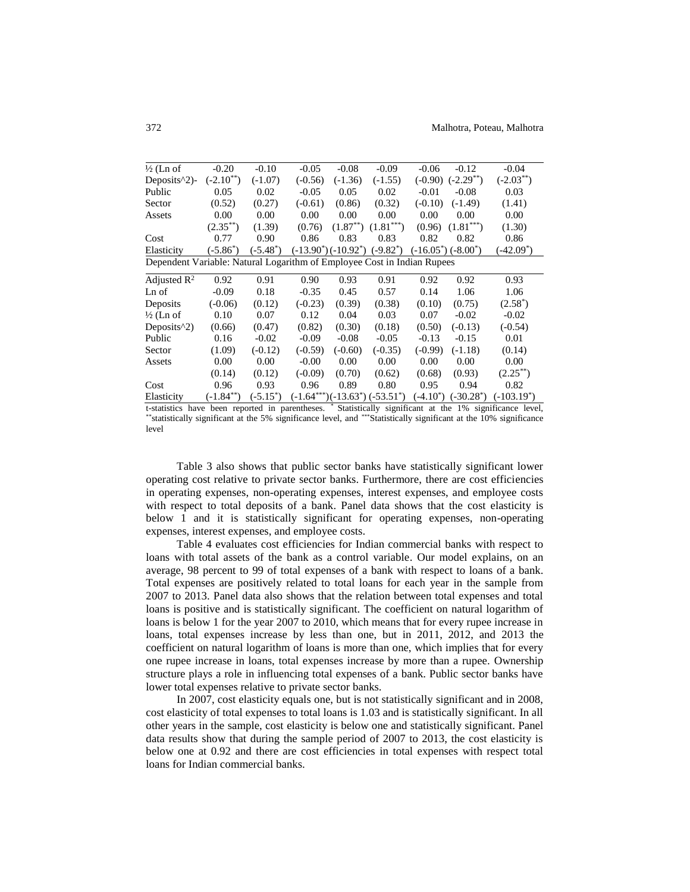| $\frac{1}{2}$ (Ln of                                                    | $-0.20$        | $-0.10$     | $-0.05$   | $-0.08$       | $-0.09$                                              | $-0.06$                              | $-0.12$        | $-0.04$        |  |
|-------------------------------------------------------------------------|----------------|-------------|-----------|---------------|------------------------------------------------------|--------------------------------------|----------------|----------------|--|
| Deposits $\binom{2}{2}$ -                                               | $(-2.10^{**})$ | $(-1.07)$   | $(-0.56)$ | $(-1.36)$     | $(-1.55)$                                            | $(-0.90)$                            | $(-2.29^{**})$ | $(-2.03^{**})$ |  |
| Public                                                                  | 0.05           | 0.02        | $-0.05$   | 0.05          | 0.02                                                 | $-0.01$                              | $-0.08$        | 0.03           |  |
| Sector                                                                  | (0.52)         | (0.27)      | $(-0.61)$ | (0.86)        | (0.32)                                               | $(-0.10)$                            | $(-1.49)$      | (1.41)         |  |
| Assets                                                                  | 0.00           | 0.00        | 0.00      | 0.00          | 0.00                                                 | 0.00                                 | 0.00           | 0.00           |  |
|                                                                         | $(2.35^{**})$  | (1.39)      | (0.76)    | $(1.87^{**})$ | $(1.81***)$                                          | (0.96)                               | $(1.81***)$    | (1.30)         |  |
| Cost                                                                    | 0.77           | 0.90        | 0.86      | 0.83          | 0.83                                                 | 0.82                                 | 0.82           | 0.86           |  |
| Elasticity                                                              | $(-5.86^*)$    | $(-5.48^*)$ |           |               | $(-13.90^{\circ})(-10.92^{\circ})$ $(-9.82^{\circ})$ | $(-16.05^{\circ})$ $(-8.00^{\circ})$ |                | $(-42.09^*)$   |  |
| Dependent Variable: Natural Logarithm of Employee Cost in Indian Rupees |                |             |           |               |                                                      |                                      |                |                |  |
| Adjusted $\mathbb{R}^2$                                                 | 0.92           | 0.91        | 0.90      | 0.93          | 0.91                                                 | 0.92                                 | 0.92           | 0.93           |  |
| Ln of                                                                   | $-0.09$        | 0.18        | $-0.35$   | 0.45          | 0.57                                                 | 0.14                                 | 1.06           | 1.06           |  |
| Deposits                                                                | $(-0.06)$      | (0.12)      | $(-0.23)$ | (0.39)        | (0.38)                                               | (0.10)                               | (0.75)         | $(2.58^*)$     |  |
| $\frac{1}{2}$ (Ln of                                                    | 0.10           | 0.07        | 0.12      | 0.04          | 0.03                                                 | 0.07                                 | $-0.02$        | $-0.02$        |  |
| Deposits <sup>^2</sup> )                                                | (0.66)         | (0.47)      | (0.82)    | (0.30)        | (0.18)                                               | (0.50)                               | $(-0.13)$      | $(-0.54)$      |  |
| Public                                                                  | 0.16           | $-0.02$     | $-0.09$   | $-0.08$       | $-0.05$                                              | $-0.13$                              | $-0.15$        | 0.01           |  |
| Sector                                                                  | (1.09)         | $(-0.12)$   | $(-0.59)$ | $(-0.60)$     | $(-0.35)$                                            | $(-0.99)$                            | $(-1.18)$      | (0.14)         |  |
| Assets                                                                  | 0.00           | 0.00        | $-0.00$   | 0.00          | 0.00                                                 | 0.00                                 | 0.00           | 0.00           |  |
|                                                                         | (0.14)         | (0.12)      | $(-0.09)$ | (0.70)        | (0.62)                                               | (0.68)                               | (0.93)         | $(2.25^{**})$  |  |
| Cost                                                                    | 0.96           | 0.93        | 0.96      | 0.89          | 0.80                                                 | 0.95                                 | 0.94           | 0.82           |  |
| Elasticity                                                              | $(-1.84^{**})$ | $(-5.15^*)$ |           |               | $(-1.64***)(-13.63*)$ $(-53.51*)$                    | $(-4.10^*)$                          | $(-30.28^*)$   | $(-103.19^*)$  |  |

t-statistics have been reported in parentheses. \* Statistically significant at the 1% significance level, \*\*statistically significant at the 5% significance level, and \*\*\*Statistically significant at the 10% significance level

Table 3 also shows that public sector banks have statistically significant lower operating cost relative to private sector banks. Furthermore, there are cost efficiencies in operating expenses, non-operating expenses, interest expenses, and employee costs with respect to total deposits of a bank. Panel data shows that the cost elasticity is below 1 and it is statistically significant for operating expenses, non-operating expenses, interest expenses, and employee costs.

Table 4 evaluates cost efficiencies for Indian commercial banks with respect to loans with total assets of the bank as a control variable. Our model explains, on an average, 98 percent to 99 of total expenses of a bank with respect to loans of a bank. Total expenses are positively related to total loans for each year in the sample from 2007 to 2013. Panel data also shows that the relation between total expenses and total loans is positive and is statistically significant. The coefficient on natural logarithm of loans is below 1 for the year 2007 to 2010, which means that for every rupee increase in loans, total expenses increase by less than one, but in 2011, 2012, and 2013 the coefficient on natural logarithm of loans is more than one, which implies that for every one rupee increase in loans, total expenses increase by more than a rupee. Ownership structure plays a role in influencing total expenses of a bank. Public sector banks have lower total expenses relative to private sector banks.

In 2007, cost elasticity equals one, but is not statistically significant and in 2008, cost elasticity of total expenses to total loans is 1.03 and is statistically significant. In all other years in the sample, cost elasticity is below one and statistically significant. Panel data results show that during the sample period of 2007 to 2013, the cost elasticity is below one at 0.92 and there are cost efficiencies in total expenses with respect total loans for Indian commercial banks.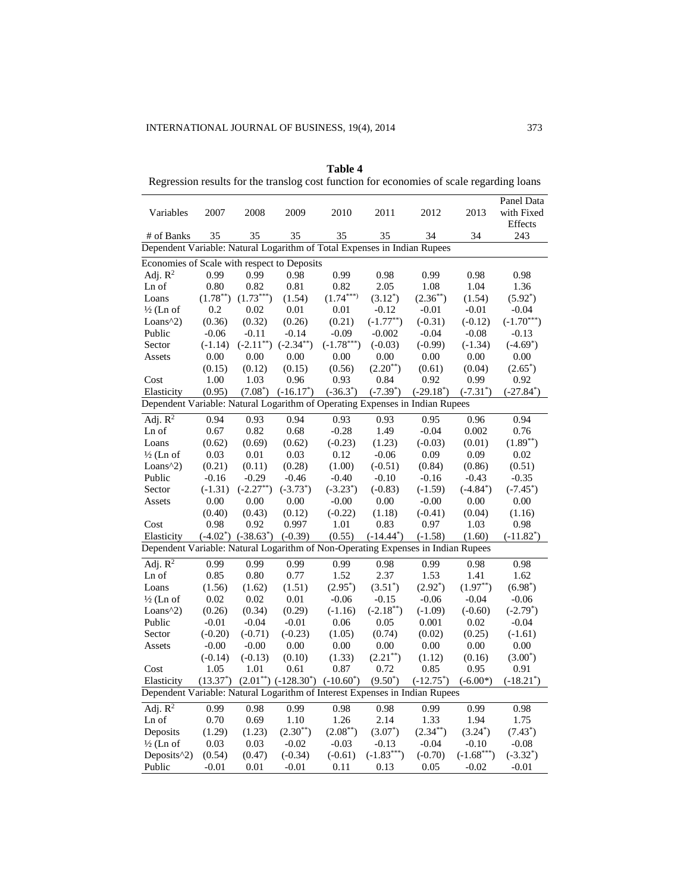|                                                                                  | regression results for the transfog<br>cost runction for economics of searc regarding foams |                               |                                              |               |                |               |               |                                     |  |
|----------------------------------------------------------------------------------|---------------------------------------------------------------------------------------------|-------------------------------|----------------------------------------------|---------------|----------------|---------------|---------------|-------------------------------------|--|
| Variables                                                                        | 2007                                                                                        | 2008                          | 2009                                         | 2010          | 2011           | 2012          | 2013          | Panel Data<br>with Fixed<br>Effects |  |
| # of Banks                                                                       | 35                                                                                          | 35                            | 35                                           | 35            | 35             | 34            | 34            | 243                                 |  |
| Dependent Variable: Natural Logarithm of Total Expenses in Indian Rupees         |                                                                                             |                               |                                              |               |                |               |               |                                     |  |
| Economies of Scale with respect to Deposits                                      |                                                                                             |                               |                                              |               |                |               |               |                                     |  |
| Adj. $R^2$                                                                       | 0.99                                                                                        | 0.99                          | 0.98                                         | 0.99          | 0.98           | 0.99          | 0.98          | 0.98                                |  |
| Ln of                                                                            | 0.80                                                                                        | 0.82                          | 0.81                                         | 0.82          | 2.05           | 1.08          | 1.04          | 1.36                                |  |
| Loans                                                                            | $(1.78^{**})$                                                                               | $(1.73***)$                   | (1.54)                                       | $(1.74***)$   | $(3.12^*)$     | $(2.36^{**})$ | (1.54)        | $(5.92^*)$                          |  |
| $\frac{1}{2}$ (Ln of                                                             | 0.2                                                                                         | 0.02                          | 0.01                                         | 0.01          | $-0.12$        | $-0.01$       | $-0.01$       | $-0.04$                             |  |
| Loans $\binom{2}{2}$                                                             | (0.36)                                                                                      | (0.32)                        | (0.26)                                       | (0.21)        | $(-1.77^{**})$ | $(-0.31)$     | $(-0.12)$     | $(-1.70***)$                        |  |
| Public                                                                           | $-0.06$                                                                                     | $-0.11$                       | $-0.14$                                      | $-0.09$       | $-0.002$       | $-0.04$       | $-0.08$       | $-0.13$                             |  |
| Sector                                                                           | $(-1.14)$                                                                                   | $(-2.11^{**})$ $(-2.34^{**})$ |                                              | $(-1.78***)$  | $(-0.03)$      | $(-0.99)$     | $(-1.34)$     | $(-4.69^*)$                         |  |
| Assets                                                                           | 0.00                                                                                        | 0.00                          | 0.00                                         | 0.00          | 0.00           | 0.00          | 0.00          | 0.00                                |  |
|                                                                                  | (0.15)                                                                                      | (0.12)                        | (0.15)                                       | (0.56)        | $(2.20^{**})$  | (0.61)        | (0.04)        | $(2.65^*)$                          |  |
| Cost                                                                             | 1.00                                                                                        | 1.03                          | 0.96                                         | 0.93          | 0.84           | 0.92          | 0.99          | 0.92                                |  |
| Elasticity                                                                       | (0.95)                                                                                      |                               | $(7.08^*)$ $(-16.17^*)$                      | $(-36.3^*)$   | $(-7.39^*)$    | $(-29.18^*)$  | $(-7.31^*)$   | $(-27.84^*)$                        |  |
| Dependent Variable: Natural Logarithm of Operating Expenses in Indian Rupees     |                                                                                             |                               |                                              |               |                |               |               |                                     |  |
| $\overline{Adj. R^2}$                                                            | 0.94                                                                                        | 0.93                          | 0.94                                         | 0.93          | 0.93           | 0.95          | 0.96          | 0.94                                |  |
| Ln of                                                                            | 0.67                                                                                        | 0.82                          | 0.68                                         | $-0.28$       | 1.49           | $-0.04$       | 0.002         | 0.76                                |  |
| Loans                                                                            | (0.62)                                                                                      | (0.69)                        | (0.62)                                       | $(-0.23)$     | (1.23)         | $(-0.03)$     | (0.01)        | $(1.89^{**})$                       |  |
| $\frac{1}{2}$ (Ln of                                                             | 0.03                                                                                        | 0.01                          | 0.03                                         | 0.12          | $-0.06$        | 0.09          | 0.09          | 0.02                                |  |
| Loans $\binom{2}{2}$                                                             | (0.21)                                                                                      | (0.11)                        | (0.28)                                       | (1.00)        | $(-0.51)$      | (0.84)        | (0.86)        | (0.51)                              |  |
| Public                                                                           | $-0.16$                                                                                     | $-0.29$                       | $-0.46$                                      | $-0.40$       | $-0.10$        | $-0.16$       | $-0.43$       | $-0.35$                             |  |
| Sector                                                                           | $(-1.31)$                                                                                   | $(-2.27^{**})$                | $(-3.73^*)$                                  | $(-3.23^*)$   | $(-0.83)$      | $(-1.59)$     | $(-4.84^*)$   | $(-7.45^*)$                         |  |
| Assets                                                                           | 0.00                                                                                        | 0.00                          | 0.00                                         | $-0.00$       | 0.00           | $-0.00$       | 0.00          | 0.00                                |  |
|                                                                                  | (0.40)                                                                                      | (0.43)                        | (0.12)                                       | $(-0.22)$     | (1.18)         | $(-0.41)$     | (0.04)        | (1.16)                              |  |
| Cost                                                                             | 0.98                                                                                        | 0.92                          | 0.997                                        | 1.01          | 0.83           | 0.97          | 1.03          | 0.98                                |  |
| Elasticity                                                                       |                                                                                             | $(-4.02^*)$ $(-38.63^*)$      | $(-0.39)$                                    | (0.55)        | $(-14.44^*)$   | $(-1.58)$     | (1.60)        | $(-11.82^*)$                        |  |
| Dependent Variable: Natural Logarithm of Non-Operating Expenses in Indian Rupees |                                                                                             |                               |                                              |               |                |               |               |                                     |  |
| Adj. $R^2$                                                                       | 0.99                                                                                        | 0.99                          | 0.99                                         | 0.99          | 0.98           | 0.99          | 0.98          | 0.98                                |  |
| Ln of                                                                            | 0.85                                                                                        | 0.80                          | 0.77                                         | 1.52          | 2.37           | 1.53          | 1.41          | 1.62                                |  |
| Loans                                                                            | (1.56)                                                                                      | (1.62)                        | (1.51)                                       | $(2.95^*)$    | $(3.51^*)$     | $(2.92^*)$    | $(1.97^{**})$ | $(6.98^*)$                          |  |
| $\frac{1}{2}$ (Ln of                                                             | 0.02                                                                                        | 0.02                          | 0.01                                         | $-0.06$       | $-0.15$        | $-0.06$       | $-0.04$       | $-0.06$                             |  |
| Loans $\binom{2}{2}$                                                             | (0.26)                                                                                      | (0.34)                        | (0.29)                                       | $(-1.16)$     | $(-2.18^{**})$ | $(-1.09)$     | $(-0.60)$     | $(-2.79^*)$                         |  |
| Public                                                                           | $-0.01$                                                                                     | $-0.04$                       | $-0.01$                                      | 0.06          | 0.05           | 0.001         | 0.02          | $-0.04$                             |  |
| Sector                                                                           | $(-0.20)$                                                                                   | $(-0.71)$                     | $(-0.23)$                                    | (1.05)        | (0.74)         | (0.02)        | (0.25)        | $(-1.61)$                           |  |
| Assets                                                                           | $-0.00$                                                                                     | $-0.00$                       | 0.00                                         | 0.00          | 0.00           | 0.00          | 0.00          | 0.00                                |  |
|                                                                                  | $(-0.14)$                                                                                   | $(-0.13)$                     | (0.10)                                       | (1.33)        | $(2.21^{**})$  | (1.12)        | (0.16)        | $(3.00^*)$                          |  |
| Cost                                                                             | 1.05                                                                                        | 1.01                          | 0.61                                         | 0.87          | 0.72           | 0.85          | 0.95          | 0.91                                |  |
| Elasticity                                                                       | $(13.37^*)$                                                                                 |                               | $(2.01^{**})$ $(-128.30^{*})$ $(-10.60^{*})$ |               | $(9.50^*)$     | $(-12.75^*)$  | $(-6.00*)$    | $(-18.21^*)$                        |  |
| Dependent Variable: Natural Logarithm of Interest Expenses in Indian Rupees      |                                                                                             |                               |                                              |               |                |               |               |                                     |  |
| Adj. $R^2$                                                                       | 0.99                                                                                        | 0.98                          | 0.99                                         | 0.98          | 0.98           | 0.99          | 0.99          | 0.98                                |  |
| Ln of                                                                            | 0.70                                                                                        | 0.69                          | 1.10                                         | 1.26          | 2.14           | 1.33          | 1.94          | 1.75                                |  |
| Deposits                                                                         | (1.29)                                                                                      | (1.23)                        | $(2.30^{**})$                                | $(2.08^{**})$ | $(3.07^*)$     | $(2.34^{**})$ | $(3.24^*)$    | $(7.43^*)$                          |  |
| $\frac{1}{2}$ (Ln of                                                             | 0.03                                                                                        | 0.03                          | $-0.02$                                      | $-0.03$       | $-0.13$        | $-0.04$       | $-0.10$       | $-0.08$                             |  |
| Deposits <sup>1</sup> 2)                                                         | (0.54)                                                                                      | (0.47)                        | $(-0.34)$                                    | $(-0.61)$     | $(-1.83***)$   | $(-0.70)$     | $(-1.68***)$  | $(-3.32^*)$                         |  |
| Public                                                                           | $-0.01$                                                                                     | 0.01                          | $-0.01$                                      | 0.11          | 0.13           | 0.05          | $-0.02$       | $-0.01$                             |  |

**Table 4** Regression results for the translog cost function for economies of scale regarding loans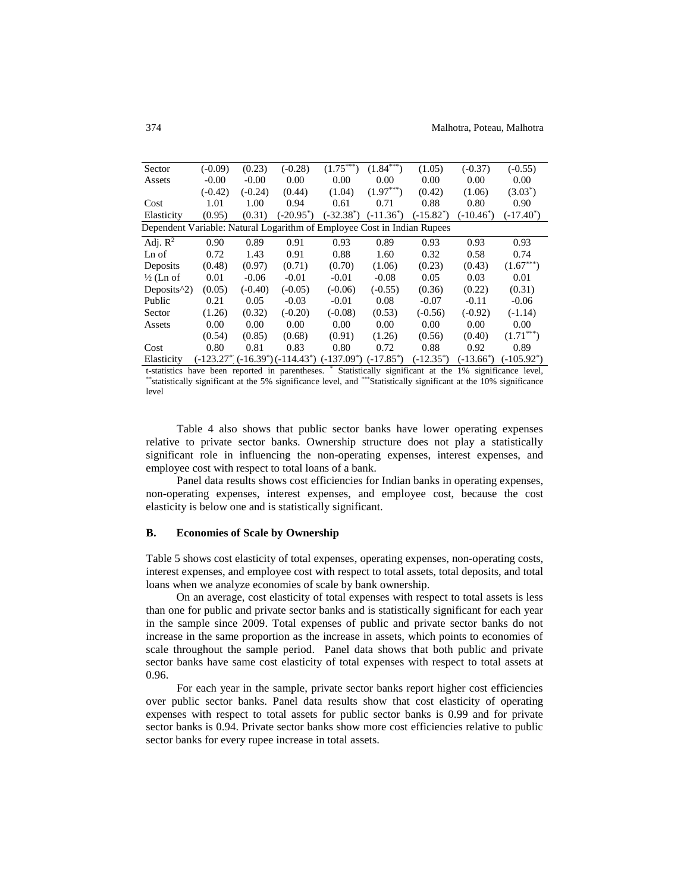| Sector                                                                  | $(-0.09)$ | (0.23)    | $(-0.28)$    | $(1.75^{***})$                                                             | $(1.84^{***})$ | (1.05)       | $(-0.37)$    | $(-0.55)$     |
|-------------------------------------------------------------------------|-----------|-----------|--------------|----------------------------------------------------------------------------|----------------|--------------|--------------|---------------|
| Assets                                                                  | $-0.00$   | $-0.00$   | 0.00         | 0.00                                                                       | 0.00           | 0.00         | 0.00         | 0.00          |
|                                                                         | $(-0.42)$ | $(-0.24)$ | (0.44)       | (1.04)                                                                     | $(1.97***)$    | (0.42)       | (1.06)       | $(3.03^*)$    |
| Cost                                                                    | 1.01      | 1.00      | 0.94         | 0.61                                                                       | 0.71           | 0.88         | 0.80         | 0.90          |
| Elasticity                                                              | (0.95)    | (0.31)    | $(-20.95^*)$ | $(-32.38^*)$                                                               | $(-11.36^*)$   | $(-15.82^*)$ | $(-10.46^*)$ | $(-17.40^*)$  |
| Dependent Variable: Natural Logarithm of Employee Cost in Indian Rupees |           |           |              |                                                                            |                |              |              |               |
| Adj. $R^2$                                                              | 0.90      | 0.89      | 0.91         | 0.93                                                                       | 0.89           | 0.93         | 0.93         | 0.93          |
| Ln of                                                                   | 0.72      | 1.43      | 0.91         | 0.88                                                                       | 1.60           | 0.32         | 0.58         | 0.74          |
| Deposits                                                                | (0.48)    | (0.97)    | (0.71)       | (0.70)                                                                     | (1.06)         | (0.23)       | (0.43)       | $(1.67***)$   |
| $\frac{1}{2}$ (Ln of                                                    | 0.01      | $-0.06$   | $-0.01$      | $-0.01$                                                                    | $-0.08$        | 0.05         | 0.03         | 0.01          |
| Deposits $\binom{2}{2}$                                                 | (0.05)    | $(-0.40)$ | $(-0.05)$    | $(-0.06)$                                                                  | $(-0.55)$      | (0.36)       | (0.22)       | (0.31)        |
| Public                                                                  | 0.21      | 0.05      | $-0.03$      | $-0.01$                                                                    | 0.08           | $-0.07$      | $-0.11$      | $-0.06$       |
| Sector                                                                  | (1.26)    | (0.32)    | $(-0.20)$    | $(-0.08)$                                                                  | (0.53)         | $(-0.56)$    | $(-0.92)$    | $(-1.14)$     |
| Assets                                                                  | 0.00      | 0.00      | 0.00         | 0.00                                                                       | 0.00           | 0.00         | 0.00         | 0.00          |
|                                                                         | (0.54)    | (0.85)    | (0.68)       | (0.91)                                                                     | (1.26)         | (0.56)       | (0.40)       | $(1.71***)$   |
| Cost                                                                    | 0.80      | 0.81      | 0.83         | 0.80                                                                       | 0.72           | 0.88         | 0.92         | 0.89          |
| Elasticity                                                              |           |           |              | $(-123.27^{\ast})$ $(-16.39^{\ast})$ $(-114.43^{\ast})$ $(-137.09^{\ast})$ | $(-17.85^*)$   | $(-12.35^*)$ | $(-13.66^*)$ | $(-105.92^*)$ |

t-statistics have been reported in parentheses. \* Statistically significant at the 1% significance level, \*\*statistically significant at the 5% significance level, and \*\*\*Statistically significant at the 10% significance level

Table 4 also shows that public sector banks have lower operating expenses relative to private sector banks. Ownership structure does not play a statistically significant role in influencing the non-operating expenses, interest expenses, and employee cost with respect to total loans of a bank.

Panel data results shows cost efficiencies for Indian banks in operating expenses, non-operating expenses, interest expenses, and employee cost, because the cost elasticity is below one and is statistically significant.

# **B. Economies of Scale by Ownership**

Table 5 shows cost elasticity of total expenses, operating expenses, non-operating costs, interest expenses, and employee cost with respect to total assets, total deposits, and total loans when we analyze economies of scale by bank ownership.

On an average, cost elasticity of total expenses with respect to total assets is less than one for public and private sector banks and is statistically significant for each year in the sample since 2009. Total expenses of public and private sector banks do not increase in the same proportion as the increase in assets, which points to economies of scale throughout the sample period. Panel data shows that both public and private sector banks have same cost elasticity of total expenses with respect to total assets at 0.96.

For each year in the sample, private sector banks report higher cost efficiencies over public sector banks. Panel data results show that cost elasticity of operating expenses with respect to total assets for public sector banks is 0.99 and for private sector banks is 0.94. Private sector banks show more cost efficiencies relative to public sector banks for every rupee increase in total assets.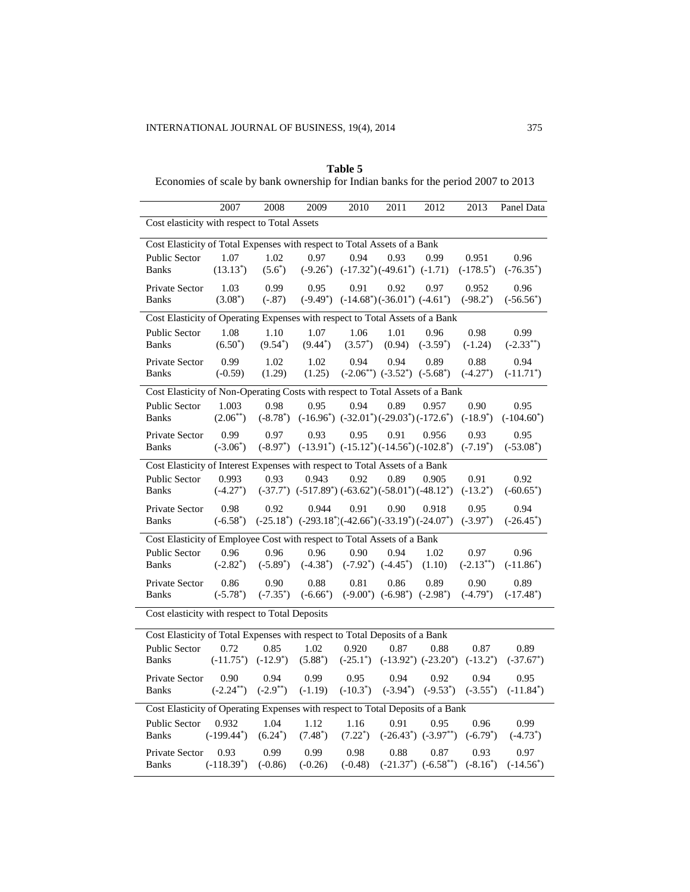# **Table 5**

Economies of scale by bank ownership for Indian banks for the period 2007 to 2013

|                                                                                | 2007                                                                     | 2008                  | 2009                                                                      | 2010                                                   | 2011                                           | 2012                                | 2013                   | Panel Data             |  |  |
|--------------------------------------------------------------------------------|--------------------------------------------------------------------------|-----------------------|---------------------------------------------------------------------------|--------------------------------------------------------|------------------------------------------------|-------------------------------------|------------------------|------------------------|--|--|
| Cost elasticity with respect to Total Assets                                   |                                                                          |                       |                                                                           |                                                        |                                                |                                     |                        |                        |  |  |
|                                                                                | Cost Elasticity of Total Expenses with respect to Total Assets of a Bank |                       |                                                                           |                                                        |                                                |                                     |                        |                        |  |  |
| <b>Public Sector</b><br><b>Banks</b>                                           | 1.07<br>$(13.13^*)$                                                      | 1.02<br>$(5.6^*)$     | 0.97<br>$(-9.26^*)$                                                       | 0.94                                                   | 0.93<br>$(-17.32^*)(-49.61^*)$ $(-1.71)$       | 0.99                                | 0.951<br>$(-178.5^*)$  | 0.96<br>$(-76.35^*)$   |  |  |
| Private Sector<br><b>Banks</b>                                                 | 1.03<br>$(3.08^*)$                                                       | 0.99<br>$(-.87)$      | 0.95                                                                      | 0.91<br>$(-9.49^*)$ $(-14.68^*)(-36.01^*)$ $(-4.61^*)$ | 0.92                                           | 0.97                                | 0.952<br>$(-98.2^*)$   | 0.96<br>$(-56.56^*)$   |  |  |
| Cost Elasticity of Operating Expenses with respect to Total Assets of a Bank   |                                                                          |                       |                                                                           |                                                        |                                                |                                     |                        |                        |  |  |
| <b>Public Sector</b><br><b>Banks</b>                                           | 1.08<br>$(6.50^*)$                                                       | 1.10<br>$(9.54^*)$    | 1.07<br>$(9.44^*)$                                                        | 1.06<br>$(3.57^*)$                                     | 1.01<br>(0.94)                                 | 0.96<br>$(-3.59^*)$                 | 0.98<br>$(-1.24)$      | 0.99<br>$(-2.33^{**})$ |  |  |
| <b>Private Sector</b><br><b>Banks</b>                                          | 0.99<br>$(-0.59)$                                                        | 1.02<br>(1.29)        | 1.02<br>(1.25)                                                            | 0.94                                                   | 0.94<br>$(-2.06^{**})$ $(-3.52^*)$ $(-5.68^*)$ | 0.89                                | 0.88<br>$(-4.27^*)$    | 0.94<br>$(-11.71^*)$   |  |  |
| Cost Elasticity of Non-Operating Costs with respect to Total Assets of a Bank  |                                                                          |                       |                                                                           |                                                        |                                                |                                     |                        |                        |  |  |
| Public Sector<br><b>Banks</b>                                                  | 1.003<br>$(2.06^{**})$                                                   | 0.98<br>$(-8.78^*)$   | 0.95                                                                      | 0.94<br>$(-16.96^*)$ $(-32.01^*)(-29.03^*)(-172.6^*)$  | 0.89                                           | 0.957                               | 0.90<br>$(-18.9^*)$    | 0.95<br>$(-104.60^*)$  |  |  |
| Private Sector<br><b>Banks</b>                                                 | 0.99<br>$(-3.06^*)$                                                      | 0.97<br>$(-8.97^*)$   | 0.93                                                                      | 0.95<br>$(-13.91^*)$ $(-15.12^*)(-14.56^*)(-102.8^*)$  | 0.91                                           | 0.956                               | 0.93<br>$(-7.19^*)$    | 0.95<br>$(-53.08^*)$   |  |  |
| Cost Elasticity of Interest Expenses with respect to Total Assets of a Bank    |                                                                          |                       |                                                                           |                                                        |                                                |                                     |                        |                        |  |  |
| <b>Public Sector</b><br><b>Banks</b>                                           | 0.993<br>$(-4.27^*)$                                                     | 0.93                  | 0.943<br>$(-37.7^*)$ $(-517.89^*)$ $(-63.62^*)$ $(-58.01^*)$ $(-48.12^*)$ | 0.92                                                   | 0.89                                           | 0.905                               | 0.91<br>$(-13.2^*)$    | 0.92<br>$(-60.65^*)$   |  |  |
| Private Sector<br><b>Banks</b>                                                 | 0.98<br>$(-6.58^*)$                                                      | 0.92                  | 0.944<br>$(-25.18^*)$ $(-293.18^*)(-42.66^*)(-33.19^*)(-24.07^*)$         | 0.91                                                   | 0.90                                           | 0.918                               | 0.95<br>$(-3.97^*)$    | 0.94<br>$(-26.45^*)$   |  |  |
| Cost Elasticity of Employee Cost with respect to Total Assets of a Bank        |                                                                          |                       |                                                                           |                                                        |                                                |                                     |                        |                        |  |  |
| <b>Public Sector</b><br><b>Banks</b>                                           | 0.96<br>$(-2.82^*)$                                                      | 0.96<br>$(-5.89^*)$   | 0.96<br>$(-4.38^*)$                                                       | 0.90                                                   | 0.94<br>$(-7.92^*)$ $(-4.45^*)$                | 1.02<br>(1.10)                      | 0.97<br>$(-2.13^{**})$ | 0.96<br>$(-11.86^*)$   |  |  |
| Private Sector<br>Banks                                                        | 0.86<br>$(-5.78^*)$                                                      | 0.90<br>$(-7.35^*)$   | 0.88<br>$(-6.66^*)$                                                       | 0.81                                                   | 0.86<br>$(-9.00^*)$ $(-6.98^*)$ $(-2.98^*)$    | 0.89                                | 0.90<br>$(-4.79^*)$    | 0.89<br>$(-17.48^*)$   |  |  |
| Cost elasticity with respect to Total Deposits                                 |                                                                          |                       |                                                                           |                                                        |                                                |                                     |                        |                        |  |  |
| Cost Elasticity of Total Expenses with respect to Total Deposits of a Bank     |                                                                          |                       |                                                                           |                                                        |                                                |                                     |                        |                        |  |  |
| Public Sector<br><b>Banks</b>                                                  | 0.72<br>$(-11.75^*)$                                                     | 0.85<br>$(-12.9^*)$   | 1.02<br>$(5.88^*)$                                                        | 0.920                                                  | 0.87<br>$(-25.1^*)$ $(-13.92^*)$ $(-23.20^*)$  | 0.88                                | 0.87<br>$(-13.2^*)$    | 0.89<br>$(-37.67^*)$   |  |  |
| Private Sector<br><b>Banks</b>                                                 | 0.90<br>$(-2.24^{**})$                                                   | 0.94<br>$(-2.9^{**})$ | 0.99<br>$(-1.19)$                                                         | 0.95<br>$(-10.3^*)$                                    | 0.94<br>$(-3.94^*)$                            | 0.92<br>$(-9.53^*)$                 | 0.94<br>$(-3.55^*)$    | 0.95<br>$(-11.84^*)$   |  |  |
| Cost Elasticity of Operating Expenses with respect to Total Deposits of a Bank |                                                                          |                       |                                                                           |                                                        |                                                |                                     |                        |                        |  |  |
| <b>Public Sector</b><br><b>Banks</b>                                           | 0.932<br>$(-199.44^*)$                                                   | 1.04<br>$(6.24^*)$    | 1.12<br>$(7.48^*)$                                                        | 1.16<br>$(7.22^*)$                                     | 0.91                                           | 0.95<br>$(-26.43^*)$ $(-3.97^{**})$ | 0.96<br>$(-6.79^*)$    | 0.99<br>$(-4.73^*)$    |  |  |
| Private Sector<br>Banks                                                        | 0.93<br>$(-118.39^*)$                                                    | 0.99<br>$(-0.86)$     | 0.99<br>$(-0.26)$                                                         | 0.98<br>$(-0.48)$                                      | 0.88                                           | 0.87<br>$(-21.37^*)$ $(-6.58^{**})$ | 0.93<br>$(-8.16^*)$    | 0.97<br>$(-14.56^*)$   |  |  |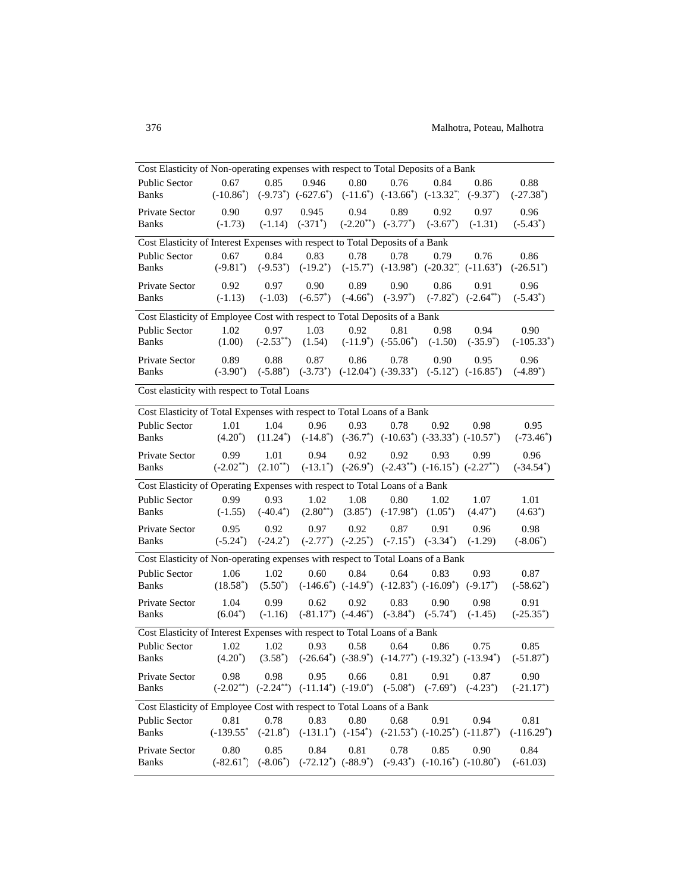| Cost Elasticity of Non-operating expenses with respect to Total Deposits of a Bank             |                      |                       |                                                                                                 |      |                                                                |                                        |                                                                                        |                     |
|------------------------------------------------------------------------------------------------|----------------------|-----------------------|-------------------------------------------------------------------------------------------------|------|----------------------------------------------------------------|----------------------------------------|----------------------------------------------------------------------------------------|---------------------|
| <b>Public Sector</b>                                                                           | 0.67<br>$(-10.86^*)$ | 0.85                  | 0.946 0.80<br>$(-9.73^*)$ $(-627.6^*)$ $(-11.6^*)$ $(-13.66^*)$ $(-13.32^*)$ $(-9.37^*)$        |      | 0.76                                                           | 0.84                                   | 0.86                                                                                   | 0.88                |
| <b>Banks</b>                                                                                   |                      |                       |                                                                                                 |      |                                                                |                                        |                                                                                        | $(-27.38^*)$        |
| Private Sector<br><b>Banks</b>                                                                 | 0.90<br>$(-1.73)$    | 0.97                  | 0.945<br>$(-1.14)$ $(-371^*)$ $(-2.20^{**})$ $(-3.77^*)$                                        | 0.94 | 0.89                                                           | 0.92<br>$(-3.67^*)$                    | 0.97<br>$(-1.31)$                                                                      | 0.96<br>$(-5.43^*)$ |
|                                                                                                |                      |                       |                                                                                                 |      |                                                                |                                        |                                                                                        |                     |
| Cost Elasticity of Interest Expenses with respect to Total Deposits of a Bank<br>Public Sector | 0.67                 | 0.84                  | 0.83                                                                                            | 0.78 | 0.78                                                           | 0.79                                   | 0.76                                                                                   | 0.86                |
| <b>Banks</b>                                                                                   |                      |                       |                                                                                                 |      |                                                                |                                        | $(-9.81^*)$ $(-9.53^*)$ $(-19.2^*)$ $(-15.7^*)$ $(-13.98^*)$ $(-20.32^*)$ $(-11.63^*)$ | $(-26.51^*)$        |
| Private Sector                                                                                 | 0.92                 | 0.97                  | 0.90                                                                                            | 0.89 | 0.90                                                           | 0.86                                   | 0.91                                                                                   | 0.96                |
| <b>Banks</b>                                                                                   | $(-1.13)$            | $(-1.03)$             |                                                                                                 |      | $(-6.57^*)$ $(-4.66^*)$ $(-3.97^*)$                            |                                        | $(-7.82^*)$ $(-2.64^{**})$                                                             | $(-5.43^*)$         |
| Cost Elasticity of Employee Cost with respect to Total Deposits of a Bank                      |                      |                       |                                                                                                 |      |                                                                |                                        |                                                                                        |                     |
| <b>Public Sector</b>                                                                           | 1.02                 |                       | $0.97$ 1.03                                                                                     | 0.92 | 0.81                                                           | 0.98                                   | 0.94                                                                                   | 0.90                |
| <b>Banks</b>                                                                                   | (1.00)               |                       | $(-2.53^{**})$ $(1.54)$ $(-11.9^{*})$ $(-55.06^{*})$ $(-1.50)$                                  |      |                                                                |                                        | $(-35.9^*)$                                                                            | $(-105.33^*)$       |
| Private Sector                                                                                 | 0.89                 | 0.88                  | 0.87                                                                                            | 0.86 |                                                                | 0.78 0.90                              | 0.95                                                                                   | 0.96                |
| Banks                                                                                          |                      |                       |                                                                                                 |      |                                                                |                                        | $(-3.90^*)$ $(-5.88^*)$ $(-3.73^*)$ $(-12.04^*)$ $(-39.33^*)$ $(-5.12^*)$ $(-16.85^*)$ | $(-4.89^*)$         |
| Cost elasticity with respect to Total Loans                                                    |                      |                       |                                                                                                 |      |                                                                |                                        |                                                                                        |                     |
| Cost Elasticity of Total Expenses with respect to Total Loans of a Bank                        |                      |                       |                                                                                                 |      |                                                                |                                        |                                                                                        |                     |
| Public Sector                                                                                  | 1.01                 |                       | 1.04 0.96                                                                                       | 0.93 | 0.78                                                           | 0.92                                   | 0.98                                                                                   | 0.95                |
| <b>Banks</b>                                                                                   | $(4.20^*)$           |                       |                                                                                                 |      |                                                                |                                        | $(11.24^*)$ $(-14.8^*)$ $(-36.7^*)$ $(-10.63^*)$ $(-33.33^*)$ $(-10.57^*)$             | $(-73.46^*)$        |
| Private Sector                                                                                 | 0.99                 | 1.01                  | 0.94                                                                                            | 0.92 | 0.92                                                           | 0.93                                   | 0.99                                                                                   | 0.96                |
| <b>Banks</b>                                                                                   |                      |                       | $(-2.02^{**})$ $(2.10^{**})$ $(-13.1^*)$ $(-26.9^*)$ $(-2.43^{**})$ $(-16.15^*)$ $(-2.27^{**})$ |      |                                                                |                                        |                                                                                        | $(-34.54^*)$        |
| Cost Elasticity of Operating Expenses with respect to Total Loans of a Bank                    |                      |                       |                                                                                                 |      |                                                                |                                        |                                                                                        |                     |
| <b>Public Sector</b>                                                                           | 0.99                 | 0.93                  | 1.02                                                                                            | 1.08 | 0.80                                                           | 1.02                                   | 1.07                                                                                   | 1.01                |
| Banks                                                                                          |                      | $(-1.55)$ $(-40.4^*)$ |                                                                                                 |      | $(2.80^{**})$ $(3.85^*)$ $(-17.98^*)$ $(1.05^*)$               |                                        | $(4.47^*)$                                                                             | $(4.63^*)$          |
| Private Sector                                                                                 | 0.95                 | 0.92                  | 0.97                                                                                            | 0.92 | 0.87                                                           | 0.91                                   | 0.96                                                                                   | 0.98                |
| <b>Banks</b>                                                                                   |                      |                       | $(-5.24^*)$ $(-24.2^*)$ $(-2.77^*)$ $(-2.25^*)$ $(-7.15^*)$ $(-3.34^*)$                         |      |                                                                |                                        | $(-1.29)$                                                                              | $(-8.06^*)$         |
| Cost Elasticity of Non-operating expenses with respect to Total Loans of a Bank                |                      |                       |                                                                                                 |      |                                                                |                                        |                                                                                        |                     |
| <b>Public Sector</b>                                                                           | 1.06                 | 1.02                  | 0.60                                                                                            | 0.84 | 0.64                                                           | 0.83                                   | 0.93                                                                                   | 0.87                |
| <b>Banks</b>                                                                                   | $(18.58^*)$          | $(5.50^*)$            |                                                                                                 |      | $(-146.6^*)$ $(-14.9^*)$ $(-12.83^*)$ $(-16.09^*)$ $(-9.17^*)$ |                                        |                                                                                        | $(-58.62^*)$        |
| Private Sector                                                                                 | 1.04                 | 0.99                  | 0.62                                                                                            | 0.92 | 0.83                                                           | 0.90                                   | 0.98                                                                                   | 0.91                |
| <b>Banks</b>                                                                                   | $(6.04^*)$           |                       | $(-1.16)$ $(-81.17^*)$ $(-4.46^*)$ $(-3.84^*)$ $(-5.74^*)$                                      |      |                                                                |                                        | $(-1.45)$                                                                              | $(-25.35^*)$        |
| Cost Elasticity of Interest Expenses with respect to Total Loans of a Bank                     |                      |                       |                                                                                                 |      |                                                                |                                        |                                                                                        |                     |
| <b>Public Sector</b>                                                                           | 1.02                 | 1.02                  | 0.93                                                                                            | 0.58 | 0.64                                                           | 0.86                                   | 0.75                                                                                   | 0.85                |
| <b>Banks</b>                                                                                   | $(4.20^*)$           |                       |                                                                                                 |      |                                                                |                                        | $(3.58^*)$ $(-26.64^*)$ $(-38.9^*)$ $(-14.77^*)$ $(-19.32^*)$ $(-13.94^*)$             | $(-51.87^*)$        |
| Private Sector                                                                                 | 0.98                 | 0.98                  | 0.95                                                                                            | 0.66 | 0.81                                                           | 0.91                                   | 0.87                                                                                   | 0.90                |
| <b>Banks</b>                                                                                   | $(-2.02^{**})$       |                       | $(-2.24^{**})$ $(-11.14^{*})$ $(-19.0^{*})$                                                     |      | $(-5.08^*)$                                                    | $(-7.69^*)$                            | $(-4.23^*)$                                                                            | $(-21.17^*)$        |
| Cost Elasticity of Employee Cost with respect to Total Loans of a Bank                         |                      |                       |                                                                                                 |      |                                                                |                                        |                                                                                        |                     |
| Public Sector                                                                                  | 0.81                 | 0.78                  | 0.83                                                                                            | 0.80 | 0.68                                                           | 0.91                                   | 0.94                                                                                   | 0.81                |
| <b>Banks</b>                                                                                   | $(-139.55^*)$        | $(-21.8^*)$           | $(-131.1^*)$ $(-154^*)$                                                                         |      |                                                                | $(-21.53^*)$ $(-10.25^*)$ $(-11.87^*)$ |                                                                                        | $(-116.29^*)$       |
| Private Sector                                                                                 | 0.80                 | 0.85                  | 0.84                                                                                            | 0.81 | 0.78                                                           | 0.85                                   | 0.90                                                                                   | 0.84                |
| <b>Banks</b>                                                                                   | $(-82.61^*)$         | $(-8.06^*)$           | $(-72.12^*)$ $(-88.9^*)$                                                                        |      |                                                                | $(-9.43^*)$ $(-10.16^*)$ $(-10.80^*)$  |                                                                                        | $(-61.03)$          |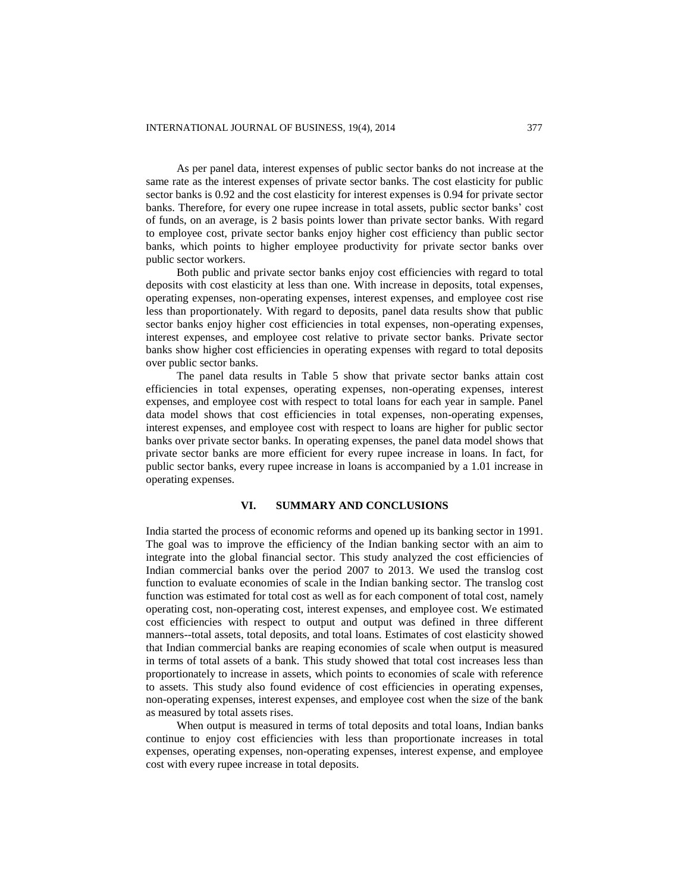As per panel data, interest expenses of public sector banks do not increase at the same rate as the interest expenses of private sector banks. The cost elasticity for public sector banks is 0.92 and the cost elasticity for interest expenses is 0.94 for private sector banks. Therefore, for every one rupee increase in total assets, public sector banks' cost of funds, on an average, is 2 basis points lower than private sector banks. With regard to employee cost, private sector banks enjoy higher cost efficiency than public sector banks, which points to higher employee productivity for private sector banks over public sector workers.

Both public and private sector banks enjoy cost efficiencies with regard to total deposits with cost elasticity at less than one. With increase in deposits, total expenses, operating expenses, non-operating expenses, interest expenses, and employee cost rise less than proportionately. With regard to deposits, panel data results show that public sector banks enjoy higher cost efficiencies in total expenses, non-operating expenses, interest expenses, and employee cost relative to private sector banks. Private sector banks show higher cost efficiencies in operating expenses with regard to total deposits over public sector banks.

The panel data results in Table 5 show that private sector banks attain cost efficiencies in total expenses, operating expenses, non-operating expenses, interest expenses, and employee cost with respect to total loans for each year in sample. Panel data model shows that cost efficiencies in total expenses, non-operating expenses, interest expenses, and employee cost with respect to loans are higher for public sector banks over private sector banks. In operating expenses, the panel data model shows that private sector banks are more efficient for every rupee increase in loans. In fact, for public sector banks, every rupee increase in loans is accompanied by a 1.01 increase in operating expenses.

## **VI. SUMMARY AND CONCLUSIONS**

India started the process of economic reforms and opened up its banking sector in 1991. The goal was to improve the efficiency of the Indian banking sector with an aim to integrate into the global financial sector. This study analyzed the cost efficiencies of Indian commercial banks over the period 2007 to 2013. We used the translog cost function to evaluate economies of scale in the Indian banking sector. The translog cost function was estimated for total cost as well as for each component of total cost, namely operating cost, non-operating cost, interest expenses, and employee cost. We estimated cost efficiencies with respect to output and output was defined in three different manners--total assets, total deposits, and total loans. Estimates of cost elasticity showed that Indian commercial banks are reaping economies of scale when output is measured in terms of total assets of a bank. This study showed that total cost increases less than proportionately to increase in assets, which points to economies of scale with reference to assets. This study also found evidence of cost efficiencies in operating expenses, non-operating expenses, interest expenses, and employee cost when the size of the bank as measured by total assets rises.

When output is measured in terms of total deposits and total loans, Indian banks continue to enjoy cost efficiencies with less than proportionate increases in total expenses, operating expenses, non-operating expenses, interest expense, and employee cost with every rupee increase in total deposits.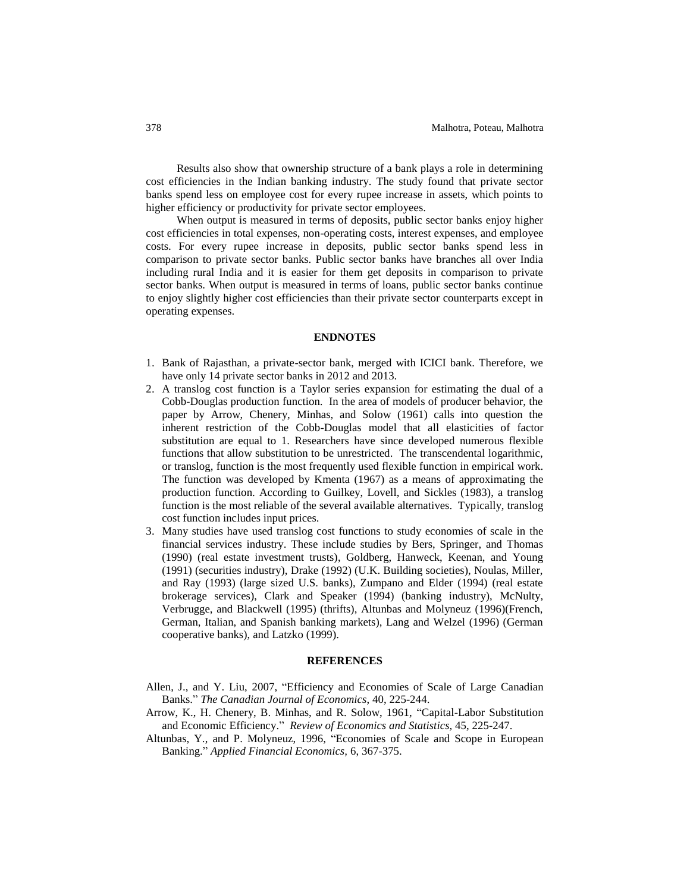Results also show that ownership structure of a bank plays a role in determining cost efficiencies in the Indian banking industry. The study found that private sector banks spend less on employee cost for every rupee increase in assets, which points to higher efficiency or productivity for private sector employees.

When output is measured in terms of deposits, public sector banks enjoy higher cost efficiencies in total expenses, non-operating costs, interest expenses, and employee costs. For every rupee increase in deposits, public sector banks spend less in comparison to private sector banks. Public sector banks have branches all over India including rural India and it is easier for them get deposits in comparison to private sector banks. When output is measured in terms of loans, public sector banks continue to enjoy slightly higher cost efficiencies than their private sector counterparts except in operating expenses.

## **ENDNOTES**

- 1. Bank of Rajasthan, a private-sector bank, merged with ICICI bank. Therefore, we have only 14 private sector banks in 2012 and 2013.
- 2. A translog cost function is a Taylor series expansion for estimating the dual of a Cobb-Douglas production function. In the area of models of producer behavior, the paper by Arrow, Chenery, Minhas, and Solow (1961) calls into question the inherent restriction of the Cobb-Douglas model that all elasticities of factor substitution are equal to 1. Researchers have since developed numerous flexible functions that allow substitution to be unrestricted. The transcendental logarithmic, or translog, function is the most frequently used flexible function in empirical work. The function was developed by Kmenta (1967) as a means of approximating the production function. According to Guilkey, Lovell, and Sickles (1983), a translog function is the most reliable of the several available alternatives. Typically, translog cost function includes input prices.
- 3. Many studies have used translog cost functions to study economies of scale in the financial services industry. These include studies by Bers, Springer, and Thomas (1990) (real estate investment trusts), Goldberg, Hanweck, Keenan, and Young (1991) (securities industry), Drake (1992) (U.K. Building societies), Noulas, Miller, and Ray (1993) (large sized U.S. banks), Zumpano and Elder (1994) (real estate brokerage services), Clark and Speaker (1994) (banking industry), McNulty, Verbrugge, and Blackwell (1995) (thrifts), Altunbas and Molyneuz (1996)(French, German, Italian, and Spanish banking markets), Lang and Welzel (1996) (German cooperative banks), and Latzko (1999).

#### **REFERENCES**

- Allen, J., and Y. Liu, 2007, "Efficiency and Economies of Scale of Large Canadian Banks." *The Canadian Journal of Economics*, 40, 225-244.
- Arrow, K., H. Chenery, B. Minhas, and R. Solow, 1961, "Capital-Labor Substitution and Economic Efficiency." *Review of Economics and Statistics,* 45, 225-247.
- Altunbas, Y., and P. Molyneuz, 1996, "Economies of Scale and Scope in European Banking." *Applied Financial Economics,* 6, 367-375.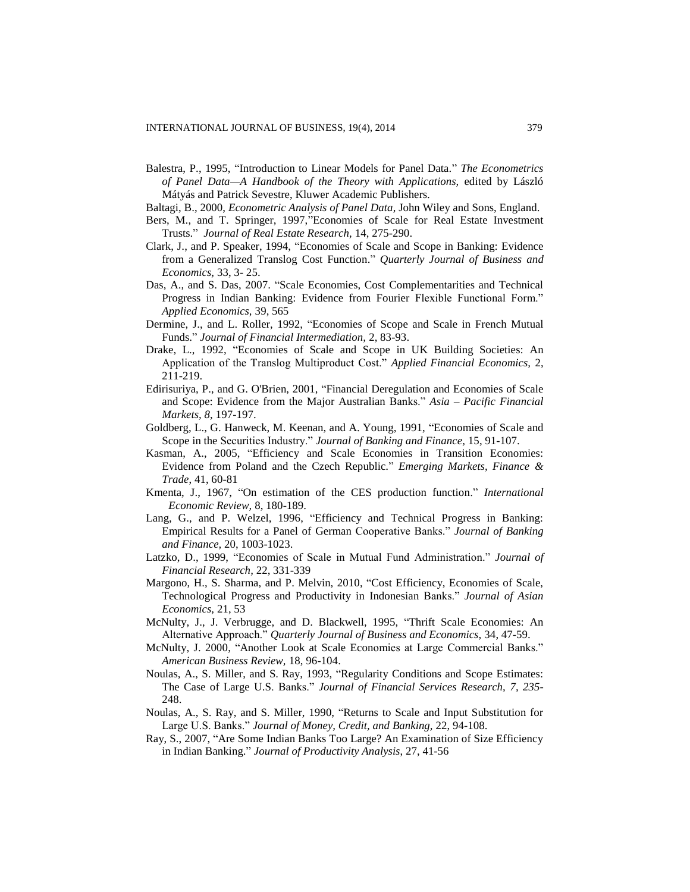- Balestra, P., 1995, "Introduction to Linear Models for Panel Data." *The Econometrics of Panel Data—A Handbook of the Theory with Applications,* edited by László Mátyás and Patrick Sevestre, Kluwer Academic Publishers.
- Baltagi, B., 2000, *Econometric Analysis of Panel Data*, John Wiley and Sons, England.
- Bers, M., and T. Springer, 1997,"Economies of Scale for Real Estate Investment Trusts." *Journal of Real Estate Research,* 14, 275-290.
- Clark, J., and P. Speaker, 1994, "Economies of Scale and Scope in Banking: Evidence from a Generalized Translog Cost Function." *Quarterly Journal of Business and Economics,* 33, 3- 25.
- Das, A., and S. Das, 2007. "Scale Economies, Cost Complementarities and Technical Progress in Indian Banking: Evidence from Fourier Flexible Functional Form." *Applied Economics,* 39, 565
- Dermine, J., and L. Roller, 1992, "Economies of Scope and Scale in French Mutual Funds." *Journal of Financial Intermediation,* 2, 83-93.
- Drake, L., 1992, "Economies of Scale and Scope in UK Building Societies: An Application of the Translog Multiproduct Cost." *Applied Financial Economics,* 2, 211-219.
- Edirisuriya, P., and G. O'Brien, 2001, "Financial Deregulation and Economies of Scale and Scope: Evidence from the Major Australian Banks." *Asia – Pacific Financial Markets, 8*, 197-197.
- Goldberg, L., G. Hanweck, M. Keenan, and A. Young, 1991, "Economies of Scale and Scope in the Securities Industry." *Journal of Banking and Finance,* 15, 91-107.
- Kasman, A., 2005, "Efficiency and Scale Economies in Transition Economies: Evidence from Poland and the Czech Republic." *Emerging Markets, Finance & Trade*, 41, 60-81
- Kmenta, J., 1967, "On estimation of the CES production function." *International Economic Review,* 8, 180-189.
- Lang, G., and P. Welzel, 1996, "Efficiency and Technical Progress in Banking: Empirical Results for a Panel of German Cooperative Banks." *Journal of Banking and Finance,* 20, 1003-1023.
- Latzko, D., 1999, "Economies of Scale in Mutual Fund Administration." *Journal of Financial Research,* 22, 331-339
- Margono, H., S. Sharma, and P. Melvin, 2010, "Cost Efficiency, Economies of Scale, Technological Progress and Productivity in Indonesian Banks." *Journal of Asian Economics,* 21, 53
- McNulty, J., J. Verbrugge, and D. Blackwell, 1995, "Thrift Scale Economies: An Alternative Approach." *Quarterly Journal of Business and Economics,* 34, 47-59.
- McNulty, J. 2000, "Another Look at Scale Economies at Large Commercial Banks." *American Business Review,* 18, 96-104.
- Noulas, A., S. Miller, and S. Ray, 1993, "Regularity Conditions and Scope Estimates: The Case of Large U.S. Banks." *Journal of Financial Services Research, 7, 235*- 248.
- Noulas, A., S. Ray, and S. Miller, 1990, "Returns to Scale and Input Substitution for Large U.S. Banks." *Journal of Money, Credit, and Banking,* 22, 94-108.
- Ray, S., 2007, "Are Some Indian Banks Too Large? An Examination of Size Efficiency in Indian Banking." *Journal of Productivity Analysis*, 27, 41-56